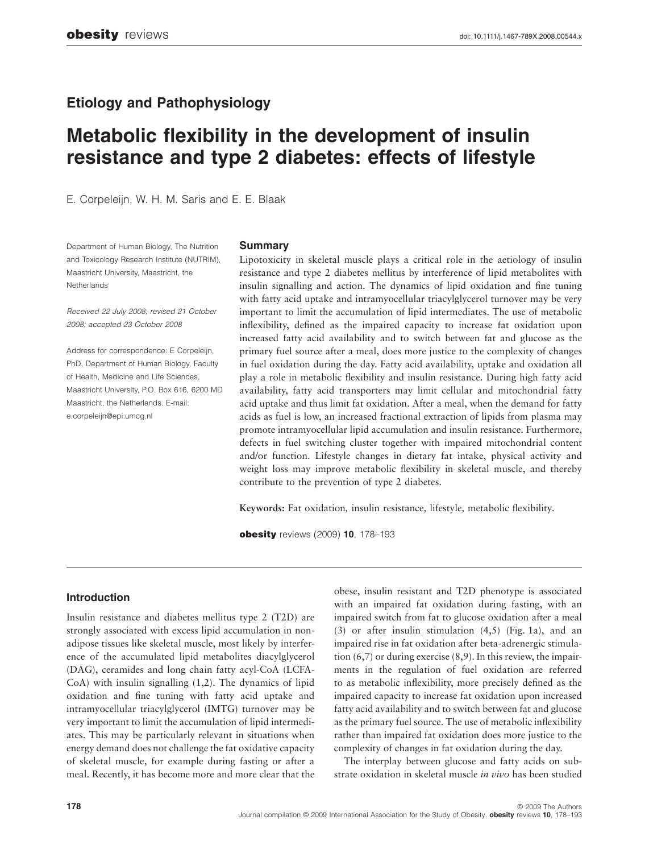# **Etiology and Pathophysiology**

# **Metabolic flexibility in the development of insulin resistance and type 2 diabetes: effects of lifestyle**

E. Corpeleijn, W. H. M. Saris and E. E. Blaak

Department of Human Biology, The Nutrition and Toxicology Research Institute (NUTRIM), Maastricht University, Maastricht, the Netherlands

*Received 22 July 2008; revised 21 October 2008; accepted 23 October 2008*

Address for correspondence: E Corpeleijn, PhD, Department of Human Biology, Faculty of Health, Medicine and Life Sciences, Maastricht University, P.O. Box 616, 6200 MD Maastricht, the Netherlands. E-mail: e.[corpeleijn@epi.umcg.nl](mailto:corpeleijn@epi.umcg.nl)

#### **Summary**

Lipotoxicity in skeletal muscle plays a critical role in the aetiology of insulin resistance and type 2 diabetes mellitus by interference of lipid metabolites with insulin signalling and action. The dynamics of lipid oxidation and fine tuning with fatty acid uptake and intramyocellular triacylglycerol turnover may be very important to limit the accumulation of lipid intermediates. The use of metabolic inflexibility, defined as the impaired capacity to increase fat oxidation upon increased fatty acid availability and to switch between fat and glucose as the primary fuel source after a meal, does more justice to the complexity of changes in fuel oxidation during the day. Fatty acid availability, uptake and oxidation all play a role in metabolic flexibility and insulin resistance. During high fatty acid availability, fatty acid transporters may limit cellular and mitochondrial fatty acid uptake and thus limit fat oxidation. After a meal, when the demand for fatty acids as fuel is low, an increased fractional extraction of lipids from plasma may promote intramyocellular lipid accumulation and insulin resistance. Furthermore, defects in fuel switching cluster together with impaired mitochondrial content and/or function. Lifestyle changes in dietary fat intake, physical activity and weight loss may improve metabolic flexibility in skeletal muscle, and thereby contribute to the prevention of type 2 diabetes.

**Keywords:** Fat oxidation*,* insulin resistance*,* lifestyle*,* metabolic flexibility*.*

**obesity** reviews (2009) **10**, 178–193

# **Introduction**

Insulin resistance and diabetes mellitus type 2 (T2D) are strongly associated with excess lipid accumulation in nonadipose tissues like skeletal muscle, most likely by interference of the accumulated lipid metabolites diacylglycerol (DAG), ceramides and long chain fatty acyl-CoA (LCFA-CoA) with insulin signalling (1,2). The dynamics of lipid oxidation and fine tuning with fatty acid uptake and intramyocellular triacylglycerol (IMTG) turnover may be very important to limit the accumulation of lipid intermediates. This may be particularly relevant in situations when energy demand does not challenge the fat oxidative capacity of skeletal muscle, for example during fasting or after a meal. Recently, it has become more and more clear that the obese, insulin resistant and T2D phenotype is associated with an impaired fat oxidation during fasting, with an impaired switch from fat to glucose oxidation after a meal (3) or after insulin stimulation (4,5) (Fig. 1a), and an impaired rise in fat oxidation after beta-adrenergic stimulation  $(6,7)$  or during exercise  $(8,9)$ . In this review, the impairments in the regulation of fuel oxidation are referred to as metabolic inflexibility, more precisely defined as the impaired capacity to increase fat oxidation upon increased fatty acid availability and to switch between fat and glucose as the primary fuel source. The use of metabolic inflexibility rather than impaired fat oxidation does more justice to the complexity of changes in fat oxidation during the day.

The interplay between glucose and fatty acids on substrate oxidation in skeletal muscle *in vivo* has been studied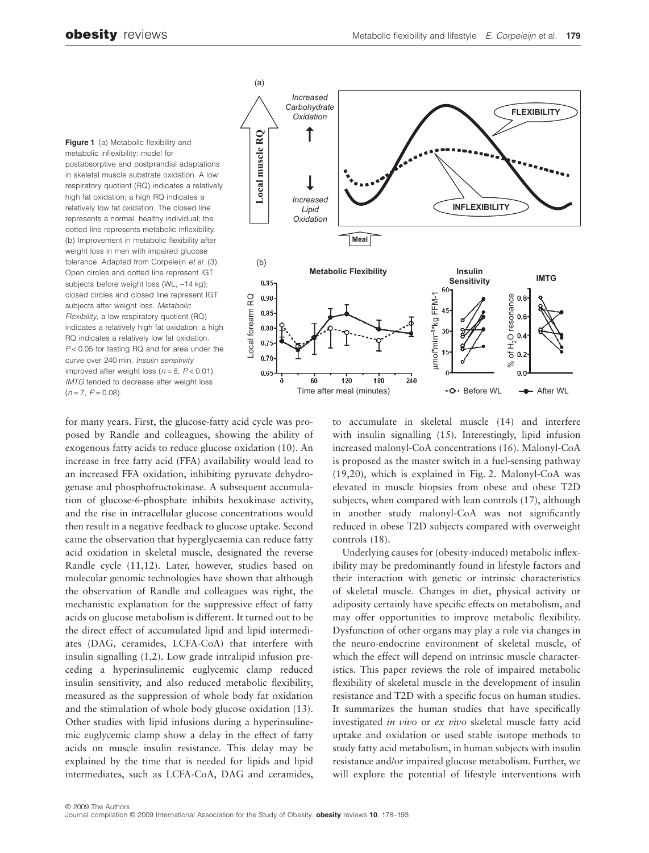**Figure 1** (a) Metabolic flexibility and metabolic inflexibility: model for postabsorptive and postprandial adaptations in skeletal muscle substrate oxidation. A low respiratory quotient (RQ) indicates a relatively high fat oxidation; a high RQ indicates a relatively low fat oxidation. The closed line represents a normal, healthy individual; the dotted line represents metabolic inflexibility. (b) Improvement in metabolic flexibility after weight loss in men with impaired glucose tolerance. Adapted from Corpeleijn *et al.* (3). Open circles and dotted line represent IGT subjects before weight loss (WL, -14 kg); closed circles and closed line represent IGT subjects after weight loss. *Metabolic Flexibility*, a low respiratory quotient (RQ) indicates a relatively high fat oxidation; a high RQ indicates a relatively low fat oxidation. *P* < 0.05 for fasting RQ and for area under the curve over 240 min. *Insulin sensitivity* improved after weight loss ( $n = 8$ ,  $P < 0.01$ ). *IMTG* tended to decrease after weight loss  $(n=7, P=0.08)$ .



for many years. First, the glucose-fatty acid cycle was proposed by Randle and colleagues, showing the ability of exogenous fatty acids to reduce glucose oxidation (10). An increase in free fatty acid (FFA) availability would lead to an increased FFA oxidation, inhibiting pyruvate dehydrogenase and phosphofructokinase. A subsequent accumulation of glucose-6-phosphate inhibits hexokinase activity, and the rise in intracellular glucose concentrations would then result in a negative feedback to glucose uptake. Second came the observation that hyperglycaemia can reduce fatty acid oxidation in skeletal muscle, designated the reverse Randle cycle (11,12). Later, however, studies based on molecular genomic technologies have shown that although the observation of Randle and colleagues was right, the mechanistic explanation for the suppressive effect of fatty acids on glucose metabolism is different. It turned out to be the direct effect of accumulated lipid and lipid intermediates (DAG, ceramides, LCFA-CoA) that interfere with insulin signalling (1,2). Low grade intralipid infusion preceding a hyperinsulinemic euglycemic clamp reduced insulin sensitivity, and also reduced metabolic flexibility, measured as the suppression of whole body fat oxidation and the stimulation of whole body glucose oxidation (13). Other studies with lipid infusions during a hyperinsulinemic euglycemic clamp show a delay in the effect of fatty acids on muscle insulin resistance. This delay may be explained by the time that is needed for lipids and lipid intermediates, such as LCFA-CoA, DAG and ceramides, to accumulate in skeletal muscle (14) and interfere with insulin signalling (15). Interestingly, lipid infusion increased malonyl-CoA concentrations (16). Malonyl-CoA is proposed as the master switch in a fuel-sensing pathway (19,20), which is explained in Fig. 2. Malonyl-CoA was elevated in muscle biopsies from obese and obese T2D subjects, when compared with lean controls (17), although in another study malonyl-CoA was not significantly reduced in obese T2D subjects compared with overweight controls (18).

Underlying causes for (obesity-induced) metabolic inflexibility may be predominantly found in lifestyle factors and their interaction with genetic or intrinsic characteristics of skeletal muscle. Changes in diet, physical activity or adiposity certainly have specific effects on metabolism, and may offer opportunities to improve metabolic flexibility. Dysfunction of other organs may play a role via changes in the neuro-endocrine environment of skeletal muscle, of which the effect will depend on intrinsic muscle characteristics. This paper reviews the role of impaired metabolic flexibility of skeletal muscle in the development of insulin resistance and T2D with a specific focus on human studies. It summarizes the human studies that have specifically investigated *in vivo* or *ex vivo* skeletal muscle fatty acid uptake and oxidation or used stable isotope methods to study fatty acid metabolism, in human subjects with insulin resistance and/or impaired glucose metabolism. Further, we will explore the potential of lifestyle interventions with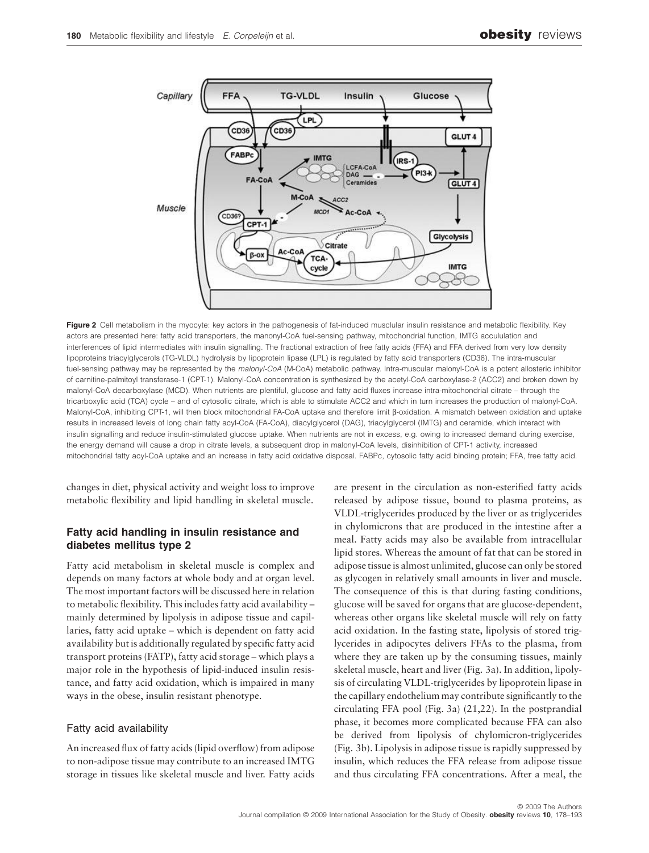

**Figure 2** Cell metabolism in the myocyte: key actors in the pathogenesis of fat-induced musclular insulin resistance and metabolic flexibility. Key actors are presented here: fatty acid transporters, the manonyl-CoA fuel-sensing pathway, mitochondrial function, IMTG accululation and interferences of lipid intermediates with insulin signalling. The fractional extraction of free fatty acids (FFA) and FFA derived from very low density lipoproteins triacylglycerols (TG-VLDL) hydrolysis by lipoprotein lipase (LPL) is regulated by fatty acid transporters (CD36). The intra-muscular fuel-sensing pathway may be represented by the *malonyl-CoA* (M-CoA) metabolic pathway. Intra-muscular malonyl-CoA is a potent allosteric inhibitor of carnitine-palmitoyl transferase-1 (CPT-1). Malonyl-CoA concentration is synthesized by the acetyl-CoA carboxylase-2 (ACC2) and broken down by malonyl-CoA decarboxylase (MCD). When nutrients are plentiful, glucose and fatty acid fluxes increase intra-mitochondrial citrate – through the tricarboxylic acid (TCA) cycle – and of cytosolic citrate, which is able to stimulate ACC2 and which in turn increases the production of malonyl-CoA. Malonyl-CoA, inhibiting CPT-1, will then block mitochondrial FA-CoA uptake and therefore limit  $\beta$ -oxidation. A mismatch between oxidation and uptake results in increased levels of long chain fatty acyl-CoA (FA-CoA), diacylglycerol (DAG), triacylglycerol (IMTG) and ceramide, which interact with insulin signalling and reduce insulin-stimulated glucose uptake. When nutrients are not in excess, e.g. owing to increased demand during exercise, the energy demand will cause a drop in citrate levels, a subsequent drop in malonyl-CoA levels, disinhibition of CPT-1 activity, increased mitochondrial fatty acyl-CoA uptake and an increase in fatty acid oxidative disposal. FABPc, cytosolic fatty acid binding protein; FFA, free fatty acid.

changes in diet, physical activity and weight loss to improve metabolic flexibility and lipid handling in skeletal muscle.

# **Fatty acid handling in insulin resistance and diabetes mellitus type 2**

Fatty acid metabolism in skeletal muscle is complex and depends on many factors at whole body and at organ level. The most important factors will be discussed here in relation to metabolic flexibility. This includes fatty acid availability – mainly determined by lipolysis in adipose tissue and capillaries, fatty acid uptake – which is dependent on fatty acid availability but is additionally regulated by specific fatty acid transport proteins (FATP), fatty acid storage – which plays a major role in the hypothesis of lipid-induced insulin resistance, and fatty acid oxidation, which is impaired in many ways in the obese, insulin resistant phenotype.

# Fatty acid availability

An increased flux of fatty acids (lipid overflow) from adipose to non-adipose tissue may contribute to an increased IMTG storage in tissues like skeletal muscle and liver. Fatty acids

are present in the circulation as non-esterified fatty acids released by adipose tissue, bound to plasma proteins, as VLDL-triglycerides produced by the liver or as triglycerides in chylomicrons that are produced in the intestine after a meal. Fatty acids may also be available from intracellular lipid stores. Whereas the amount of fat that can be stored in adipose tissue is almost unlimited, glucose can only be stored as glycogen in relatively small amounts in liver and muscle. The consequence of this is that during fasting conditions, glucose will be saved for organs that are glucose-dependent, whereas other organs like skeletal muscle will rely on fatty acid oxidation. In the fasting state, lipolysis of stored triglycerides in adipocytes delivers FFAs to the plasma, from where they are taken up by the consuming tissues, mainly skeletal muscle, heart and liver (Fig. 3a). In addition, lipolysis of circulating VLDL-triglycerides by lipoprotein lipase in the capillary endothelium may contribute significantly to the circulating FFA pool (Fig. 3a) (21,22). In the postprandial phase, it becomes more complicated because FFA can also be derived from lipolysis of chylomicron-triglycerides (Fig. 3b). Lipolysis in adipose tissue is rapidly suppressed by insulin, which reduces the FFA release from adipose tissue and thus circulating FFA concentrations. After a meal, the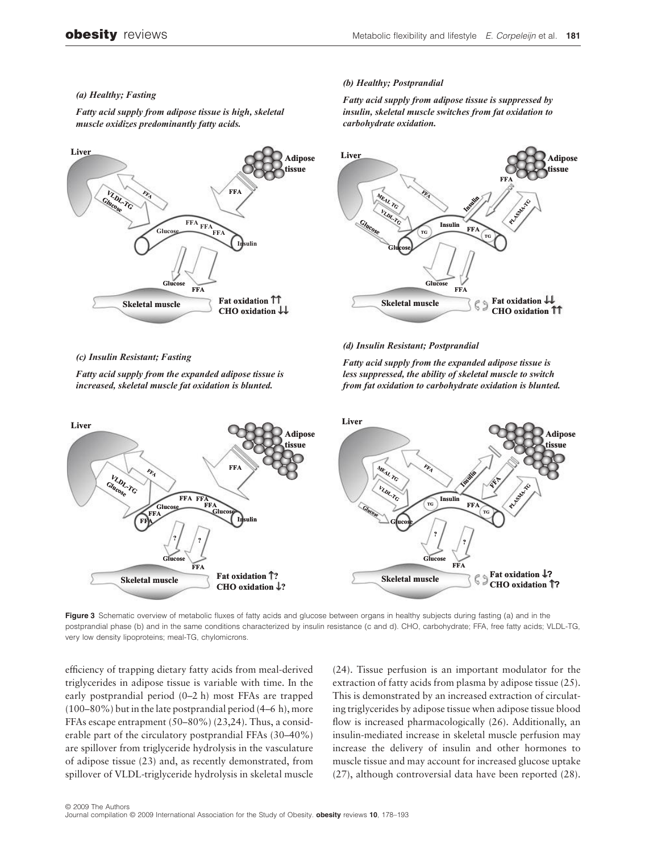## *(a) Healthy; Fasting*

*Fatty acid supply from adipose tissue is high, skeletal muscle oxidizes predominantly fatty acids.*



*(c) Insulin Resistant; Fasting*

*Fatty acid supply from the expanded adipose tissue is increased, skeletal muscle fat oxidation is blunted.*

#### *(b) Healthy; Postprandial*

*Fatty acid supply from adipose tissue is suppressed by insulin, skeletal muscle switches from fat oxidation to carbohydrate oxidation.*



#### *(d) Insulin Resistant; Postprandial*

*Fatty acid supply from the expanded adipose tissue is less suppressed, the ability of skeletal muscle to switch from fat oxidation to carbohydrate oxidation is blunted.*



Figure 3 Schematic overview of metabolic fluxes of fatty acids and glucose between organs in healthy subjects during fasting (a) and in the postprandial phase (b) and in the same conditions characterized by insulin resistance (c and d). CHO, carbohydrate; FFA, free fatty acids; VLDL-TG, very low density lipoproteins; meal-TG, chylomicrons.

efficiency of trapping dietary fatty acids from meal-derived triglycerides in adipose tissue is variable with time. In the early postprandial period (0–2 h) most FFAs are trapped (100–80%) but in the late postprandial period (4–6 h), more FFAs escape entrapment (50–80%) (23,24). Thus, a considerable part of the circulatory postprandial FFAs (30–40%) are spillover from triglyceride hydrolysis in the vasculature of adipose tissue (23) and, as recently demonstrated, from spillover of VLDL-triglyceride hydrolysis in skeletal muscle (24). Tissue perfusion is an important modulator for the extraction of fatty acids from plasma by adipose tissue (25). This is demonstrated by an increased extraction of circulating triglycerides by adipose tissue when adipose tissue blood flow is increased pharmacologically (26). Additionally, an insulin-mediated increase in skeletal muscle perfusion may increase the delivery of insulin and other hormones to muscle tissue and may account for increased glucose uptake (27), although controversial data have been reported (28).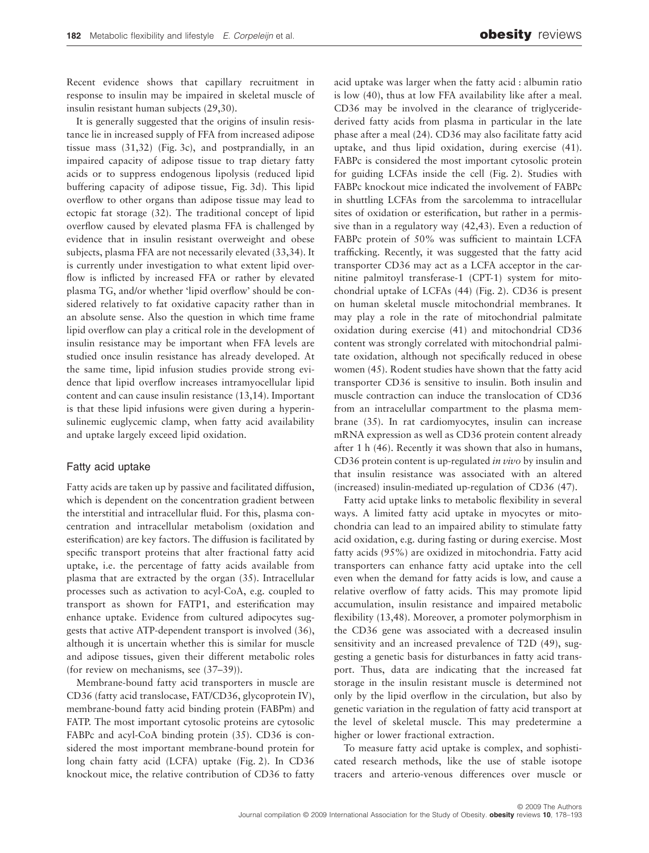Recent evidence shows that capillary recruitment in response to insulin may be impaired in skeletal muscle of insulin resistant human subjects (29,30).

It is generally suggested that the origins of insulin resistance lie in increased supply of FFA from increased adipose tissue mass (31,32) (Fig. 3c), and postprandially, in an impaired capacity of adipose tissue to trap dietary fatty acids or to suppress endogenous lipolysis (reduced lipid buffering capacity of adipose tissue, Fig. 3d). This lipid overflow to other organs than adipose tissue may lead to ectopic fat storage (32). The traditional concept of lipid overflow caused by elevated plasma FFA is challenged by evidence that in insulin resistant overweight and obese subjects, plasma FFA are not necessarily elevated (33,34). It is currently under investigation to what extent lipid overflow is inflicted by increased FFA or rather by elevated plasma TG, and/or whether 'lipid overflow' should be considered relatively to fat oxidative capacity rather than in an absolute sense. Also the question in which time frame lipid overflow can play a critical role in the development of insulin resistance may be important when FFA levels are studied once insulin resistance has already developed. At the same time, lipid infusion studies provide strong evidence that lipid overflow increases intramyocellular lipid content and can cause insulin resistance (13,14). Important is that these lipid infusions were given during a hyperinsulinemic euglycemic clamp, when fatty acid availability and uptake largely exceed lipid oxidation.

#### Fatty acid uptake

Fatty acids are taken up by passive and facilitated diffusion, which is dependent on the concentration gradient between the interstitial and intracellular fluid. For this, plasma concentration and intracellular metabolism (oxidation and esterification) are key factors. The diffusion is facilitated by specific transport proteins that alter fractional fatty acid uptake, i.e. the percentage of fatty acids available from plasma that are extracted by the organ (35). Intracellular processes such as activation to acyl-CoA, e.g. coupled to transport as shown for FATP1, and esterification may enhance uptake. Evidence from cultured adipocytes suggests that active ATP-dependent transport is involved (36), although it is uncertain whether this is similar for muscle and adipose tissues, given their different metabolic roles (for review on mechanisms, see (37–39)).

Membrane-bound fatty acid transporters in muscle are CD36 (fatty acid translocase, FAT/CD36, glycoprotein IV), membrane-bound fatty acid binding protein (FABPm) and FATP. The most important cytosolic proteins are cytosolic FABPc and acyl-CoA binding protein (35). CD36 is considered the most important membrane-bound protein for long chain fatty acid (LCFA) uptake (Fig. 2). In CD36 knockout mice, the relative contribution of CD36 to fatty

acid uptake was larger when the fatty acid : albumin ratio is low (40), thus at low FFA availability like after a meal. CD36 may be involved in the clearance of triglyceridederived fatty acids from plasma in particular in the late phase after a meal (24). CD36 may also facilitate fatty acid uptake, and thus lipid oxidation, during exercise (41). FABPc is considered the most important cytosolic protein for guiding LCFAs inside the cell (Fig. 2). Studies with FABPc knockout mice indicated the involvement of FABPc in shuttling LCFAs from the sarcolemma to intracellular sites of oxidation or esterification, but rather in a permissive than in a regulatory way (42,43). Even a reduction of FABPc protein of 50% was sufficient to maintain LCFA trafficking. Recently, it was suggested that the fatty acid transporter CD36 may act as a LCFA acceptor in the carnitine palmitoyl transferase-1 (CPT-1) system for mitochondrial uptake of LCFAs (44) (Fig. 2). CD36 is present on human skeletal muscle mitochondrial membranes. It may play a role in the rate of mitochondrial palmitate oxidation during exercise (41) and mitochondrial CD36 content was strongly correlated with mitochondrial palmitate oxidation, although not specifically reduced in obese women (45). Rodent studies have shown that the fatty acid transporter CD36 is sensitive to insulin. Both insulin and muscle contraction can induce the translocation of CD36 from an intracelullar compartment to the plasma membrane (35). In rat cardiomyocytes, insulin can increase mRNA expression as well as CD36 protein content already after 1 h (46). Recently it was shown that also in humans, CD36 protein content is up-regulated *in vivo* by insulin and that insulin resistance was associated with an altered (increased) insulin-mediated up-regulation of CD36 (47).

Fatty acid uptake links to metabolic flexibility in several ways. A limited fatty acid uptake in myocytes or mitochondria can lead to an impaired ability to stimulate fatty acid oxidation, e.g. during fasting or during exercise. Most fatty acids (95%) are oxidized in mitochondria. Fatty acid transporters can enhance fatty acid uptake into the cell even when the demand for fatty acids is low, and cause a relative overflow of fatty acids. This may promote lipid accumulation, insulin resistance and impaired metabolic flexibility (13,48). Moreover, a promoter polymorphism in the CD36 gene was associated with a decreased insulin sensitivity and an increased prevalence of T2D (49), suggesting a genetic basis for disturbances in fatty acid transport. Thus, data are indicating that the increased fat storage in the insulin resistant muscle is determined not only by the lipid overflow in the circulation, but also by genetic variation in the regulation of fatty acid transport at the level of skeletal muscle. This may predetermine a higher or lower fractional extraction.

To measure fatty acid uptake is complex, and sophisticated research methods, like the use of stable isotope tracers and arterio-venous differences over muscle or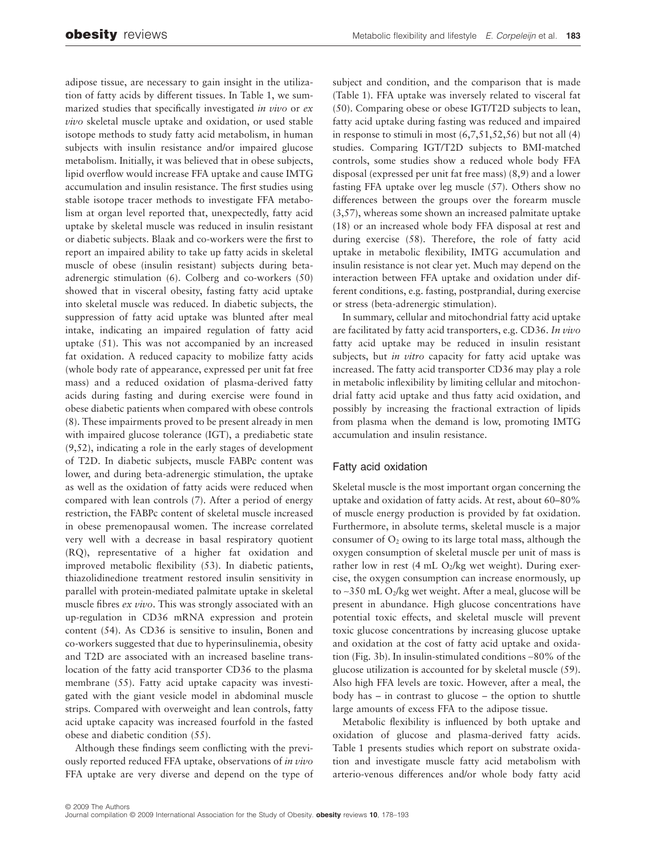adipose tissue, are necessary to gain insight in the utilization of fatty acids by different tissues. In Table 1, we summarized studies that specifically investigated *in vivo* or *ex vivo* skeletal muscle uptake and oxidation, or used stable isotope methods to study fatty acid metabolism, in human subjects with insulin resistance and/or impaired glucose metabolism. Initially, it was believed that in obese subjects, lipid overflow would increase FFA uptake and cause IMTG accumulation and insulin resistance. The first studies using stable isotope tracer methods to investigate FFA metabolism at organ level reported that, unexpectedly, fatty acid uptake by skeletal muscle was reduced in insulin resistant or diabetic subjects. Blaak and co-workers were the first to report an impaired ability to take up fatty acids in skeletal muscle of obese (insulin resistant) subjects during betaadrenergic stimulation (6). Colberg and co-workers (50) showed that in visceral obesity, fasting fatty acid uptake into skeletal muscle was reduced. In diabetic subjects, the suppression of fatty acid uptake was blunted after meal intake, indicating an impaired regulation of fatty acid uptake (51). This was not accompanied by an increased fat oxidation. A reduced capacity to mobilize fatty acids (whole body rate of appearance, expressed per unit fat free mass) and a reduced oxidation of plasma-derived fatty acids during fasting and during exercise were found in obese diabetic patients when compared with obese controls (8). These impairments proved to be present already in men with impaired glucose tolerance (IGT), a prediabetic state (9,52), indicating a role in the early stages of development of T2D. In diabetic subjects, muscle FABPc content was lower, and during beta-adrenergic stimulation, the uptake as well as the oxidation of fatty acids were reduced when compared with lean controls (7). After a period of energy restriction, the FABPc content of skeletal muscle increased in obese premenopausal women. The increase correlated very well with a decrease in basal respiratory quotient (RQ), representative of a higher fat oxidation and improved metabolic flexibility (53). In diabetic patients, thiazolidinedione treatment restored insulin sensitivity in parallel with protein-mediated palmitate uptake in skeletal muscle fibres *ex vivo*. This was strongly associated with an up-regulation in CD36 mRNA expression and protein content (54). As CD36 is sensitive to insulin, Bonen and co-workers suggested that due to hyperinsulinemia, obesity and T2D are associated with an increased baseline translocation of the fatty acid transporter CD36 to the plasma membrane (55). Fatty acid uptake capacity was investigated with the giant vesicle model in abdominal muscle strips. Compared with overweight and lean controls, fatty acid uptake capacity was increased fourfold in the fasted obese and diabetic condition (55).

Although these findings seem conflicting with the previously reported reduced FFA uptake, observations of *in vivo* FFA uptake are very diverse and depend on the type of subject and condition, and the comparison that is made (Table 1). FFA uptake was inversely related to visceral fat (50). Comparing obese or obese IGT/T2D subjects to lean, fatty acid uptake during fasting was reduced and impaired in response to stimuli in most  $(6,7,51,52,56)$  but not all  $(4)$ studies. Comparing IGT/T2D subjects to BMI-matched controls, some studies show a reduced whole body FFA disposal (expressed per unit fat free mass) (8,9) and a lower fasting FFA uptake over leg muscle (57). Others show no differences between the groups over the forearm muscle (3,57), whereas some shown an increased palmitate uptake (18) or an increased whole body FFA disposal at rest and during exercise (58). Therefore, the role of fatty acid uptake in metabolic flexibility, IMTG accumulation and insulin resistance is not clear yet. Much may depend on the interaction between FFA uptake and oxidation under different conditions, e.g. fasting, postprandial, during exercise or stress (beta-adrenergic stimulation).

In summary, cellular and mitochondrial fatty acid uptake are facilitated by fatty acid transporters, e.g. CD36. *In vivo* fatty acid uptake may be reduced in insulin resistant subjects, but *in vitro* capacity for fatty acid uptake was increased. The fatty acid transporter CD36 may play a role in metabolic inflexibility by limiting cellular and mitochondrial fatty acid uptake and thus fatty acid oxidation, and possibly by increasing the fractional extraction of lipids from plasma when the demand is low, promoting IMTG accumulation and insulin resistance.

# Fatty acid oxidation

Skeletal muscle is the most important organ concerning the uptake and oxidation of fatty acids. At rest, about 60–80% of muscle energy production is provided by fat oxidation. Furthermore, in absolute terms, skeletal muscle is a major consumer of  $O_2$  owing to its large total mass, although the oxygen consumption of skeletal muscle per unit of mass is rather low in rest (4 mL  $O_2$ /kg wet weight). During exercise, the oxygen consumption can increase enormously, up to  $\sim$ 350 mL O<sub>2</sub>/kg wet weight. After a meal, glucose will be present in abundance. High glucose concentrations have potential toxic effects, and skeletal muscle will prevent toxic glucose concentrations by increasing glucose uptake and oxidation at the cost of fatty acid uptake and oxidation (Fig. 3b). In insulin-stimulated conditions ~80% of the glucose utilization is accounted for by skeletal muscle (59). Also high FFA levels are toxic. However, after a meal, the body has – in contrast to glucose – the option to shuttle large amounts of excess FFA to the adipose tissue.

Metabolic flexibility is influenced by both uptake and oxidation of glucose and plasma-derived fatty acids. Table 1 presents studies which report on substrate oxidation and investigate muscle fatty acid metabolism with arterio-venous differences and/or whole body fatty acid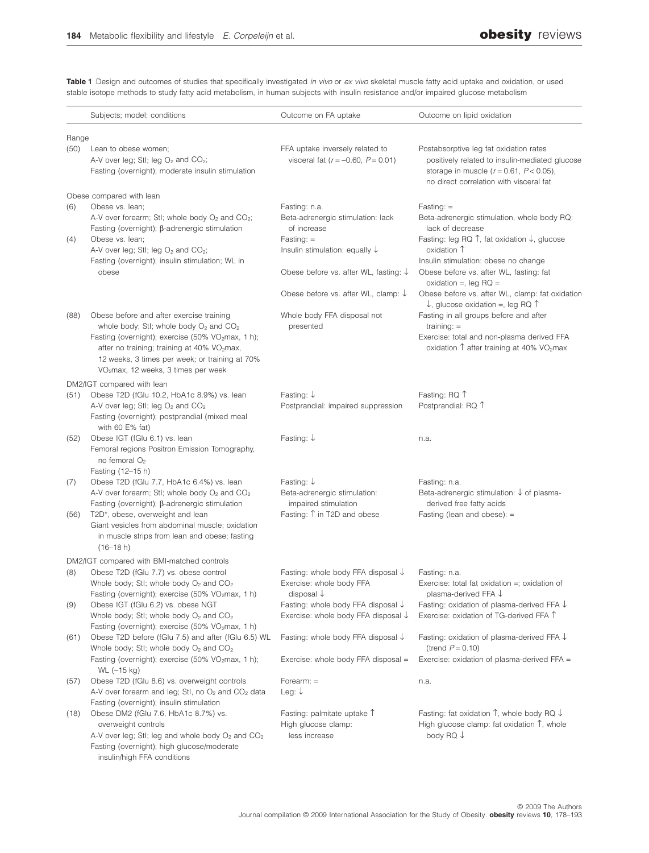Subjects; model; conditions Outcome on FA uptake Outcome on lipid oxidation Range (50) Lean to obese women; A-V over leg; StI; leg  $O<sub>2</sub>$  and  $CO<sub>2</sub>$ ; Fasting (overnight); moderate insulin stimulation FFA uptake inversely related to visceral fat (*r* = -0.60, *P* = 0.01) Postabsorptive leg fat oxidation rates positively related to insulin-mediated glucose storage in muscle (*r* = 0.61, *P* < 0.05), no direct correlation with visceral fat Obese compared with lean (6) Obese vs. lean; A-V over forearm; StI; whole body  $O_2$  and  $CO_2$ ; Fasting (overnight);  $\beta$ -adrenergic stimulation Fasting: n.a. Beta-adrenergic stimulation: lack of increase Fasting: = Beta-adrenergic stimulation, whole body RQ: lack of decrease (4) Obese vs. lean; A-V over leg; StI; leg  $O_2$  and  $CO_2$ ; Fasting (overnight); insulin stimulation; WL in obese Fasting: = Insulin stimulation: equally ↓ Obese before vs. after WL, fasting: ↓ Obese before vs. after WL, clamp: ↓ Fasting: leg RQ ↑, fat oxidation ↓, glucose oxidation ↑ Insulin stimulation: obese no change Obese before vs. after WL, fasting: fat oxidation =, leg RQ = Obese before vs. after WL, clamp: fat oxidation  $\downarrow$ , glucose oxidation =, leg RQ  $\uparrow$ (88) Obese before and after exercise training whole body; Stl; whole body  $O_2$  and  $CO_2$ Fasting (overnight); exercise (50% VO<sub>2</sub>max, 1 h); after no training; training at 40% VO<sub>2</sub>max, 12 weeks, 3 times per week; or training at 70% VO2max, 12 weeks, 3 times per week Whole body FFA disposal not presented Fasting in all groups before and after training: = Exercise: total and non-plasma derived FFA oxidation 1 after training at 40% VO<sub>2</sub>max DM2/IGT compared with lean (51) Obese T2D (fGlu 10.2, HbA1c 8.9%) vs. lean A-V over leg; StI; leg  $O_2$  and  $CO_2$ Fasting (overnight); postprandial (mixed meal with 60 E% fat) Fasting: ↓ Postprandial: impaired suppression Fasting: RQ ↑ Postprandial: RQ ↑ (52) Obese IGT (fGlu 6.1) vs. lean Femoral regions Positron Emission Tomography, no femoral O<sub>2</sub> Fasting (12–15 h) Fasting: ↓ n.a. (7) Obese T2D (fGlu 7.7, HbA1c 6.4%) vs. lean A-V over forearm; StI; whole body  $O_2$  and  $CO_2$ Fasting (overnight);  $\beta$ -adrenergic stimulation Fasting: ↓ Beta-adrenergic stimulation: impaired stimulation Fasting: n.a. Beta-adrenergic stimulation: ↓ of plasmaderived free fatty acids (56) T2D\*, obese, overweight and lean Giant vesicles from abdominal muscle; oxidation in muscle strips from lean and obese; fasting (16–18 h) Fasting: 1 in T2D and obese Fasting (lean and obese): = DM2/IGT compared with BMI-matched controls (8) Obese T2D (fGlu 7.7) vs. obese control Whole body; StI; whole body  $O_2$  and  $CO_2$ Fasting (overnight); exercise (50% VO<sub>2</sub>max, 1 h) Fasting: whole body FFA disposal ↓ Exercise: whole body FFA disposal ↓ Fasting: n.a. Exercise: total fat oxidation =; oxidation of plasma-derived FFA ↓ (9) Obese IGT (fGlu 6.2) vs. obese NGT Whole body; StI; whole body  $O_2$  and  $CO_2$ Fasting (overnight); exercise (50% VO<sub>2</sub>max, 1 h) Fasting: whole body FFA disposal ↓ Exercise: whole body FFA disposal ↓ Fasting: oxidation of plasma-derived FFA ↓ Exercise: oxidation of TG-derived FFA ↑ (61) Obese T2D before (fGlu 7.5) and after (fGlu 6.5) WL Whole body; StI; whole body  $O_2$  and  $CO_2$ Fasting (overnight); exercise (50% VO<sub>2</sub>max, 1 h); WL  $(-15$  kg) Fasting: whole body FFA disposal ↓ Exercise: whole body FFA disposal = Fasting: oxidation of plasma-derived FFA ↓  $($ trend  $P = 0.10)$ Exercise: oxidation of plasma-derived FFA = (57) Obese T2D (fGlu 8.6) vs. overweight controls A-V over forearm and leg; Stl, no  $O_2$  and  $CO_2$  data Fasting (overnight); insulin stimulation Forearm: = Leg: ↓ n.a. (18) Obese DM2 (fGlu 7.6, HbA1c 8.7%) vs. overweight controls A-V over leg; StI; leg and whole body  $O_2$  and  $CO_2$ Fasting (overnight); high glucose/moderate insulin/high FFA conditions Fasting: palmitate uptake ↑ High glucose clamp: less increase Fasting: fat oxidation ↑, whole body RQ ↓ High glucose clamp: fat oxidation ↑, whole body RQ ↓

**Table 1** Design and outcomes of studies that specifically investigated *in vivo* or *ex vivo* skeletal muscle fatty acid uptake and oxidation, or used stable isotope methods to study fatty acid metabolism, in human subjects with insulin resistance and/or impaired glucose metabolism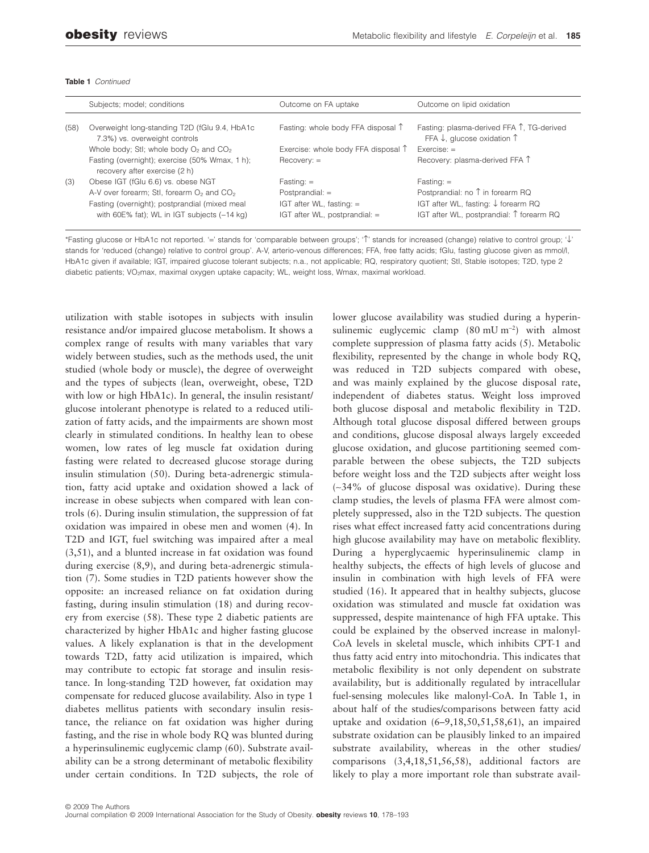#### **Table 1** *Continued*

|      | Subjects; model; conditions                                                                  | Outcome on FA uptake                                        | Outcome on lipid oxidation                                                                   |
|------|----------------------------------------------------------------------------------------------|-------------------------------------------------------------|----------------------------------------------------------------------------------------------|
| (58) | Overweight long-standing T2D (fGlu 9.4, HbA1c)<br>7.3%) vs. overweight controls              | Fasting: whole body FFA disposal 1                          | Fasting: plasma-derived FFA 1, TG-derived<br>FFA $\downarrow$ , glucose oxidation $\uparrow$ |
|      | Whole body; Stl; whole body $O_2$ and $CO_2$                                                 | Exercise: whole body FFA disposal 1                         | $Exercise: =$                                                                                |
|      | Fasting (overnight); exercise (50% Wmax, 1 h);<br>recovery after exercise (2 h)              | $Recovery: =$                                               | Recovery: plasma-derived FFA 1                                                               |
| (3)  | Obese IGT (fGlu 6.6) vs. obese NGT                                                           | $Fasting: =$                                                | $Fasting: =$                                                                                 |
|      | A-V over forearm; Stl, forearm $O_2$ and $CO_2$                                              | Postprandial: $=$                                           | Postprandial: no $\uparrow$ in forearm RQ                                                    |
|      | Fasting (overnight); postprandial (mixed meal<br>with 60E% fat); WL in IGT subjects (-14 kg) | IGT after WL, fasting: $=$<br>IGT after WL, postprandial: = | IGT after WL, fasting: $\downarrow$ forearm RQ<br>IGT after WL, postprandial: 1 forearm RQ   |

\*Fasting glucose or HbA1c not reported. '=' stands for 'comparable between groups'; '↑' stands for increased (change) relative to control group; '↓' stands for 'reduced (change) relative to control group'. A-V, arterio-venous differences; FFA, free fatty acids; fGlu, fasting glucose given as mmol/l, HbA1c given if available; IGT, impaired glucose tolerant subjects; n.a., not applicable; RQ, respiratory quotient; StI, Stable isotopes; T2D, type 2 diabetic patients; VO<sub>2</sub>max, maximal oxygen uptake capacity; WL, weight loss, Wmax, maximal workload.

utilization with stable isotopes in subjects with insulin resistance and/or impaired glucose metabolism. It shows a complex range of results with many variables that vary widely between studies, such as the methods used, the unit studied (whole body or muscle), the degree of overweight and the types of subjects (lean, overweight, obese, T2D with low or high HbA1c). In general, the insulin resistant/ glucose intolerant phenotype is related to a reduced utilization of fatty acids, and the impairments are shown most clearly in stimulated conditions. In healthy lean to obese women, low rates of leg muscle fat oxidation during fasting were related to decreased glucose storage during insulin stimulation (50). During beta-adrenergic stimulation, fatty acid uptake and oxidation showed a lack of increase in obese subjects when compared with lean controls (6). During insulin stimulation, the suppression of fat oxidation was impaired in obese men and women (4). In T2D and IGT, fuel switching was impaired after a meal (3,51), and a blunted increase in fat oxidation was found during exercise (8,9), and during beta-adrenergic stimulation (7). Some studies in T2D patients however show the opposite: an increased reliance on fat oxidation during fasting, during insulin stimulation (18) and during recovery from exercise (58). These type 2 diabetic patients are characterized by higher HbA1c and higher fasting glucose values. A likely explanation is that in the development towards T2D, fatty acid utilization is impaired, which may contribute to ectopic fat storage and insulin resistance. In long-standing T2D however, fat oxidation may compensate for reduced glucose availability. Also in type 1 diabetes mellitus patients with secondary insulin resistance, the reliance on fat oxidation was higher during fasting, and the rise in whole body RQ was blunted during a hyperinsulinemic euglycemic clamp (60). Substrate availability can be a strong determinant of metabolic flexibility under certain conditions. In T2D subjects, the role of lower glucose availability was studied during a hyperinsulinemic euglycemic clamp  $(80 \text{ mU m}^{-2})$  with almost complete suppression of plasma fatty acids (5). Metabolic flexibility, represented by the change in whole body RQ, was reduced in T2D subjects compared with obese, and was mainly explained by the glucose disposal rate, independent of diabetes status. Weight loss improved both glucose disposal and metabolic flexibility in T2D. Although total glucose disposal differed between groups and conditions, glucose disposal always largely exceeded glucose oxidation, and glucose partitioning seemed comparable between the obese subjects, the T2D subjects before weight loss and the T2D subjects after weight loss (~34% of glucose disposal was oxidative). During these clamp studies, the levels of plasma FFA were almost completely suppressed, also in the T2D subjects. The question rises what effect increased fatty acid concentrations during high glucose availability may have on metabolic flexiblity. During a hyperglycaemic hyperinsulinemic clamp in healthy subjects, the effects of high levels of glucose and insulin in combination with high levels of FFA were studied (16). It appeared that in healthy subjects, glucose oxidation was stimulated and muscle fat oxidation was suppressed, despite maintenance of high FFA uptake. This could be explained by the observed increase in malonyl-CoA levels in skeletal muscle, which inhibits CPT-1 and thus fatty acid entry into mitochondria. This indicates that metabolic flexibility is not only dependent on substrate availability, but is additionally regulated by intracellular fuel-sensing molecules like malonyl-CoA. In Table 1, in about half of the studies/comparisons between fatty acid uptake and oxidation (6–9,18,50,51,58,61), an impaired substrate oxidation can be plausibly linked to an impaired substrate availability, whereas in the other studies/ comparisons (3,4,18,51,56,58), additional factors are likely to play a more important role than substrate avail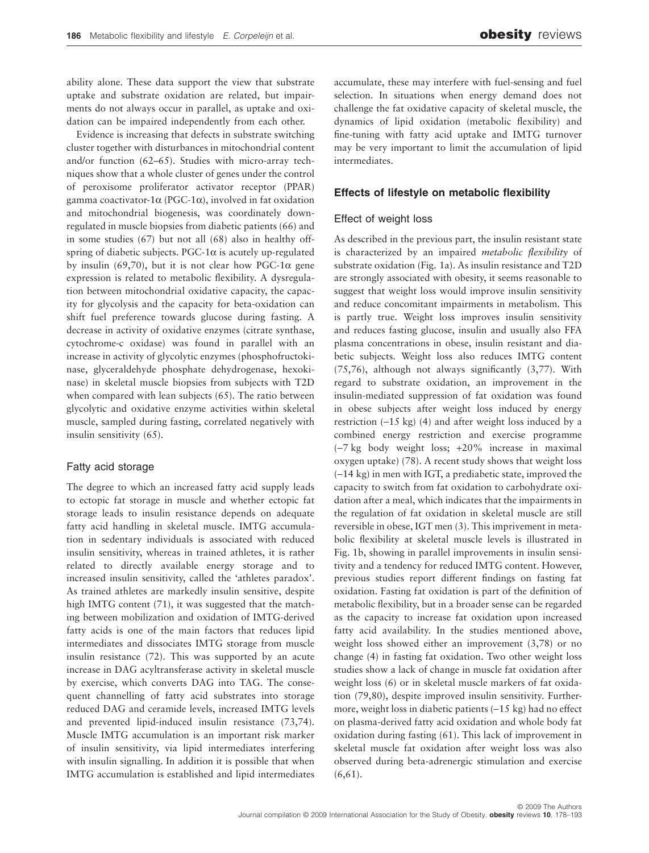ability alone. These data support the view that substrate uptake and substrate oxidation are related, but impairments do not always occur in parallel, as uptake and oxidation can be impaired independently from each other.

Evidence is increasing that defects in substrate switching cluster together with disturbances in mitochondrial content and/or function (62–65). Studies with micro-array techniques show that a whole cluster of genes under the control of peroxisome proliferator activator receptor (PPAR) gamma coactivator-1 $\alpha$  (PGC-1 $\alpha$ ), involved in fat oxidation and mitochondrial biogenesis, was coordinately downregulated in muscle biopsies from diabetic patients (66) and in some studies (67) but not all (68) also in healthy offspring of diabetic subjects. PGC-1 $\alpha$  is acutely up-regulated by insulin (69,70), but it is not clear how PGC-1 $\alpha$  gene expression is related to metabolic flexibility. A dysregulation between mitochondrial oxidative capacity, the capacity for glycolysis and the capacity for beta-oxidation can shift fuel preference towards glucose during fasting. A decrease in activity of oxidative enzymes (citrate synthase, cytochrome-c oxidase) was found in parallel with an increase in activity of glycolytic enzymes (phosphofructokinase, glyceraldehyde phosphate dehydrogenase, hexokinase) in skeletal muscle biopsies from subjects with T2D when compared with lean subjects (65). The ratio between glycolytic and oxidative enzyme activities within skeletal muscle, sampled during fasting, correlated negatively with insulin sensitivity (65).

# Fatty acid storage

The degree to which an increased fatty acid supply leads to ectopic fat storage in muscle and whether ectopic fat storage leads to insulin resistance depends on adequate fatty acid handling in skeletal muscle. IMTG accumulation in sedentary individuals is associated with reduced insulin sensitivity, whereas in trained athletes, it is rather related to directly available energy storage and to increased insulin sensitivity, called the 'athletes paradox'. As trained athletes are markedly insulin sensitive, despite high IMTG content (71), it was suggested that the matching between mobilization and oxidation of IMTG-derived fatty acids is one of the main factors that reduces lipid intermediates and dissociates IMTG storage from muscle insulin resistance (72). This was supported by an acute increase in DAG acyltransferase activity in skeletal muscle by exercise, which converts DAG into TAG. The consequent channelling of fatty acid substrates into storage reduced DAG and ceramide levels, increased IMTG levels and prevented lipid-induced insulin resistance (73,74). Muscle IMTG accumulation is an important risk marker of insulin sensitivity, via lipid intermediates interfering with insulin signalling. In addition it is possible that when IMTG accumulation is established and lipid intermediates

accumulate, these may interfere with fuel-sensing and fuel selection. In situations when energy demand does not challenge the fat oxidative capacity of skeletal muscle, the dynamics of lipid oxidation (metabolic flexibility) and fine-tuning with fatty acid uptake and IMTG turnover may be very important to limit the accumulation of lipid intermediates.

#### **Effects of lifestyle on metabolic flexibility**

# Effect of weight loss

As described in the previous part, the insulin resistant state is characterized by an impaired *metabolic flexibility* of substrate oxidation (Fig. 1a). As insulin resistance and T2D are strongly associated with obesity, it seems reasonable to suggest that weight loss would improve insulin sensitivity and reduce concomitant impairments in metabolism. This is partly true. Weight loss improves insulin sensitivity and reduces fasting glucose, insulin and usually also FFA plasma concentrations in obese, insulin resistant and diabetic subjects. Weight loss also reduces IMTG content (75,76), although not always significantly (3,77). With regard to substrate oxidation, an improvement in the insulin-mediated suppression of fat oxidation was found in obese subjects after weight loss induced by energy restriction  $(-15 \text{ kg})$  (4) and after weight loss induced by a combined energy restriction and exercise programme (-7 kg body weight loss; +20% increase in maximal oxygen uptake) (78). A recent study shows that weight loss (-14 kg) in men with IGT, a prediabetic state, improved the capacity to switch from fat oxidation to carbohydrate oxidation after a meal, which indicates that the impairments in the regulation of fat oxidation in skeletal muscle are still reversible in obese, IGT men (3). This imprivement in metabolic flexibility at skeletal muscle levels is illustrated in Fig. 1b, showing in parallel improvements in insulin sensitivity and a tendency for reduced IMTG content. However, previous studies report different findings on fasting fat oxidation. Fasting fat oxidation is part of the definition of metabolic flexibility, but in a broader sense can be regarded as the capacity to increase fat oxidation upon increased fatty acid availability. In the studies mentioned above, weight loss showed either an improvement (3,78) or no change (4) in fasting fat oxidation. Two other weight loss studies show a lack of change in muscle fat oxidation after weight loss (6) or in skeletal muscle markers of fat oxidation (79,80), despite improved insulin sensitivity. Furthermore, weight loss in diabetic patients  $(-15 \text{ kg})$  had no effect on plasma-derived fatty acid oxidation and whole body fat oxidation during fasting (61). This lack of improvement in skeletal muscle fat oxidation after weight loss was also observed during beta-adrenergic stimulation and exercise  $(6,61)$ .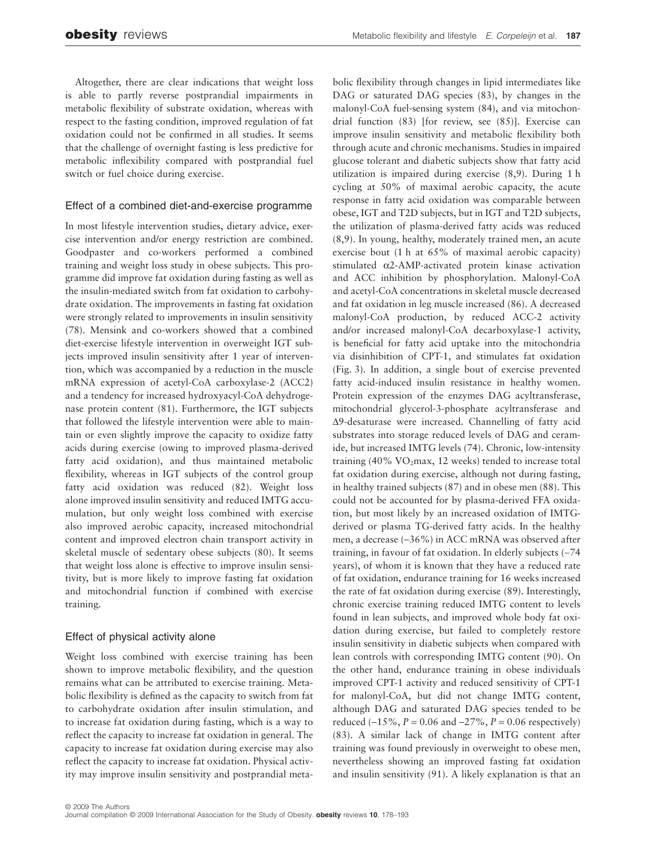Altogether, there are clear indications that weight loss is able to partly reverse postprandial impairments in metabolic flexibility of substrate oxidation, whereas with respect to the fasting condition, improved regulation of fat oxidation could not be confirmed in all studies. It seems that the challenge of overnight fasting is less predictive for metabolic inflexibility compared with postprandial fuel switch or fuel choice during exercise.

## Effect of a combined diet-and-exercise programme

In most lifestyle intervention studies, dietary advice, exercise intervention and/or energy restriction are combined. Goodpaster and co-workers performed a combined training and weight loss study in obese subjects. This programme did improve fat oxidation during fasting as well as the insulin-mediated switch from fat oxidation to carbohydrate oxidation. The improvements in fasting fat oxidation were strongly related to improvements in insulin sensitivity (78). Mensink and co-workers showed that a combined diet-exercise lifestyle intervention in overweight IGT subjects improved insulin sensitivity after 1 year of intervention, which was accompanied by a reduction in the muscle mRNA expression of acetyl-CoA carboxylase-2 (ACC2) and a tendency for increased hydroxyacyl-CoA dehydrogenase protein content (81). Furthermore, the IGT subjects that followed the lifestyle intervention were able to maintain or even slightly improve the capacity to oxidize fatty acids during exercise (owing to improved plasma-derived fatty acid oxidation), and thus maintained metabolic flexibility, whereas in IGT subjects of the control group fatty acid oxidation was reduced (82). Weight loss alone improved insulin sensitivity and reduced IMTG accumulation, but only weight loss combined with exercise also improved aerobic capacity, increased mitochondrial content and improved electron chain transport activity in skeletal muscle of sedentary obese subjects (80). It seems that weight loss alone is effective to improve insulin sensitivity, but is more likely to improve fasting fat oxidation and mitochondrial function if combined with exercise training.

# Effect of physical activity alone

Weight loss combined with exercise training has been shown to improve metabolic flexibility, and the question remains what can be attributed to exercise training. Metabolic flexibility is defined as the capacity to switch from fat to carbohydrate oxidation after insulin stimulation, and to increase fat oxidation during fasting, which is a way to reflect the capacity to increase fat oxidation in general. The capacity to increase fat oxidation during exercise may also reflect the capacity to increase fat oxidation. Physical activity may improve insulin sensitivity and postprandial metabolic flexibility through changes in lipid intermediates like DAG or saturated DAG species (83), by changes in the malonyl-CoA fuel-sensing system (84), and via mitochondrial function (83) [for review, see (85)]. Exercise can improve insulin sensitivity and metabolic flexibility both through acute and chronic mechanisms. Studies in impaired glucose tolerant and diabetic subjects show that fatty acid utilization is impaired during exercise (8,9). During 1 h cycling at 50% of maximal aerobic capacity, the acute response in fatty acid oxidation was comparable between obese, IGT and T2D subjects, but in IGT and T2D subjects, the utilization of plasma-derived fatty acids was reduced (8,9). In young, healthy, moderately trained men, an acute exercise bout (1 h at 65% of maximal aerobic capacity) stimulated a2-AMP-activated protein kinase activation and ACC inhibition by phosphorylation. Malonyl-CoA and acetyl-CoA concentrations in skeletal muscle decreased and fat oxidation in leg muscle increased (86). A decreased malonyl-CoA production, by reduced ACC-2 activity and/or increased malonyl-CoA decarboxylase-1 activity, is beneficial for fatty acid uptake into the mitochondria via disinhibition of CPT-1, and stimulates fat oxidation (Fig. 3). In addition, a single bout of exercise prevented fatty acid-induced insulin resistance in healthy women. Protein expression of the enzymes DAG acyltransferase, mitochondrial glycerol-3-phosphate acyltransferase and  $\Delta$ 9-desaturase were increased. Channelling of fatty acid substrates into storage reduced levels of DAG and ceramide, but increased IMTG levels (74). Chronic, low-intensity training  $(40\%$  VO<sub>2</sub>max, 12 weeks) tended to increase total fat oxidation during exercise, although not during fasting, in healthy trained subjects (87) and in obese men (88). This could not be accounted for by plasma-derived FFA oxidation, but most likely by an increased oxidation of IMTGderived or plasma TG-derived fatty acids. In the healthy men, a decrease (-36%) in ACC mRNA was observed after training, in favour of fat oxidation. In elderly subjects (~74 years), of whom it is known that they have a reduced rate of fat oxidation, endurance training for 16 weeks increased the rate of fat oxidation during exercise (89). Interestingly, chronic exercise training reduced IMTG content to levels found in lean subjects, and improved whole body fat oxidation during exercise, but failed to completely restore insulin sensitivity in diabetic subjects when compared with lean controls with corresponding IMTG content (90). On the other hand, endurance training in obese individuals improved CPT-1 activity and reduced sensitivity of CPT-1 for malonyl-CoA, but did not change IMTG content, although DAG and saturated DAG species tended to be reduced  $(-15\%, P = 0.06 \text{ and } -27\%, P = 0.06 \text{ respectively})$ (83). A similar lack of change in IMTG content after training was found previously in overweight to obese men, nevertheless showing an improved fasting fat oxidation and insulin sensitivity (91). A likely explanation is that an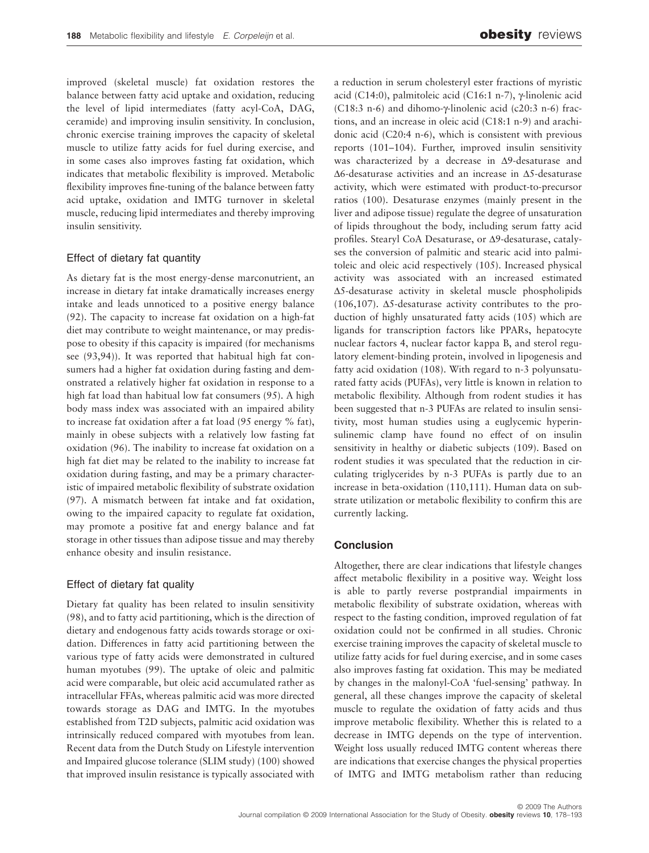improved (skeletal muscle) fat oxidation restores the balance between fatty acid uptake and oxidation, reducing the level of lipid intermediates (fatty acyl-CoA, DAG, ceramide) and improving insulin sensitivity. In conclusion, chronic exercise training improves the capacity of skeletal muscle to utilize fatty acids for fuel during exercise, and in some cases also improves fasting fat oxidation, which indicates that metabolic flexibility is improved. Metabolic flexibility improves fine-tuning of the balance between fatty acid uptake, oxidation and IMTG turnover in skeletal muscle, reducing lipid intermediates and thereby improving insulin sensitivity.

#### Effect of dietary fat quantity

As dietary fat is the most energy-dense marconutrient, an increase in dietary fat intake dramatically increases energy intake and leads unnoticed to a positive energy balance (92). The capacity to increase fat oxidation on a high-fat diet may contribute to weight maintenance, or may predispose to obesity if this capacity is impaired (for mechanisms see (93,94)). It was reported that habitual high fat consumers had a higher fat oxidation during fasting and demonstrated a relatively higher fat oxidation in response to a high fat load than habitual low fat consumers (95). A high body mass index was associated with an impaired ability to increase fat oxidation after a fat load (95 energy % fat), mainly in obese subjects with a relatively low fasting fat oxidation (96). The inability to increase fat oxidation on a high fat diet may be related to the inability to increase fat oxidation during fasting, and may be a primary characteristic of impaired metabolic flexibility of substrate oxidation (97). A mismatch between fat intake and fat oxidation, owing to the impaired capacity to regulate fat oxidation, may promote a positive fat and energy balance and fat storage in other tissues than adipose tissue and may thereby enhance obesity and insulin resistance.

#### Effect of dietary fat quality

Dietary fat quality has been related to insulin sensitivity (98), and to fatty acid partitioning, which is the direction of dietary and endogenous fatty acids towards storage or oxidation. Differences in fatty acid partitioning between the various type of fatty acids were demonstrated in cultured human myotubes (99). The uptake of oleic and palmitic acid were comparable, but oleic acid accumulated rather as intracellular FFAs, whereas palmitic acid was more directed towards storage as DAG and IMTG. In the myotubes established from T2D subjects, palmitic acid oxidation was intrinsically reduced compared with myotubes from lean. Recent data from the Dutch Study on Lifestyle intervention and Impaired glucose tolerance (SLIM study) (100) showed that improved insulin resistance is typically associated with

a reduction in serum cholesteryl ester fractions of myristic acid (C14:0), palmitoleic acid (C16:1 n-7), y-linolenic acid (C18:3 n-6) and dihomo- $\gamma$ -linolenic acid (c20:3 n-6) fractions, and an increase in oleic acid (C18:1 n-9) and arachidonic acid (C20:4 n-6), which is consistent with previous reports (101–104). Further, improved insulin sensitivity was characterized by a decrease in  $\Delta$ 9-desaturase and  $\Delta$ 6-desaturase activities and an increase in  $\Delta$ 5-desaturase activity, which were estimated with product-to-precursor ratios (100). Desaturase enzymes (mainly present in the liver and adipose tissue) regulate the degree of unsaturation of lipids throughout the body, including serum fatty acid profiles. Stearyl CoA Desaturase, or  $\Delta$ 9-desaturase, catalyses the conversion of palmitic and stearic acid into palmitoleic and oleic acid respectively (105). Increased physical activity was associated with an increased estimated  $\Delta$ 5-desaturase activity in skeletal muscle phospholipids (106,107).  $\Delta$ 5-desaturase activity contributes to the production of highly unsaturated fatty acids (105) which are ligands for transcription factors like PPARs, hepatocyte nuclear factors 4, nuclear factor kappa B, and sterol regulatory element-binding protein, involved in lipogenesis and fatty acid oxidation (108). With regard to n-3 polyunsaturated fatty acids (PUFAs), very little is known in relation to metabolic flexibility. Although from rodent studies it has been suggested that n-3 PUFAs are related to insulin sensitivity, most human studies using a euglycemic hyperinsulinemic clamp have found no effect of on insulin sensitivity in healthy or diabetic subjects (109). Based on rodent studies it was speculated that the reduction in circulating triglycerides by n-3 PUFAs is partly due to an increase in beta-oxidation (110,111). Human data on substrate utilization or metabolic flexibility to confirm this are currently lacking.

#### **Conclusion**

Altogether, there are clear indications that lifestyle changes affect metabolic flexibility in a positive way. Weight loss is able to partly reverse postprandial impairments in metabolic flexibility of substrate oxidation, whereas with respect to the fasting condition, improved regulation of fat oxidation could not be confirmed in all studies. Chronic exercise training improves the capacity of skeletal muscle to utilize fatty acids for fuel during exercise, and in some cases also improves fasting fat oxidation. This may be mediated by changes in the malonyl-CoA 'fuel-sensing' pathway. In general, all these changes improve the capacity of skeletal muscle to regulate the oxidation of fatty acids and thus improve metabolic flexibility. Whether this is related to a decrease in IMTG depends on the type of intervention. Weight loss usually reduced IMTG content whereas there are indications that exercise changes the physical properties of IMTG and IMTG metabolism rather than reducing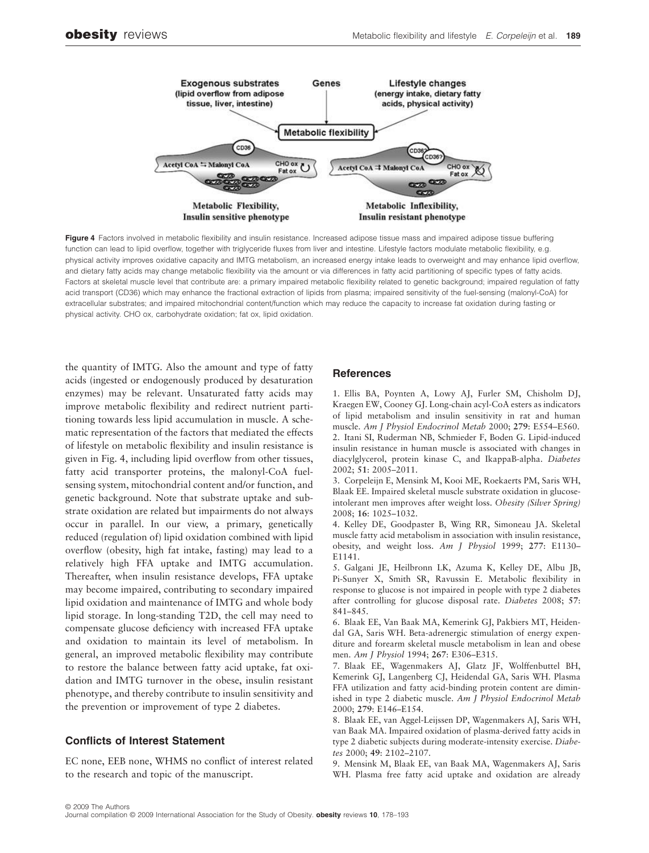

Figure 4 Factors involved in metabolic flexibility and insulin resistance. Increased adipose tissue mass and impaired adipose tissue buffering function can lead to lipid overflow, together with triglyceride fluxes from liver and intestine. Lifestyle factors modulate metabolic flexibility, e.g. physical activity improves oxidative capacity and IMTG metabolism, an increased energy intake leads to overweight and may enhance lipid overflow, and dietary fatty acids may change metabolic flexibility via the amount or via differences in fatty acid partitioning of specific types of fatty acids. Factors at skeletal muscle level that contribute are: a primary impaired metabolic flexibility related to genetic background; impaired regulation of fatty acid transport (CD36) which may enhance the fractional extraction of lipids from plasma; impaired sensitivity of the fuel-sensing (malonyl-CoA) for extracellular substrates; and impaired mitochondrial content/function which may reduce the capacity to increase fat oxidation during fasting or physical activity. CHO ox, carbohydrate oxidation; fat ox, lipid oxidation.

the quantity of IMTG. Also the amount and type of fatty acids (ingested or endogenously produced by desaturation enzymes) may be relevant. Unsaturated fatty acids may improve metabolic flexibility and redirect nutrient partitioning towards less lipid accumulation in muscle. A schematic representation of the factors that mediated the effects of lifestyle on metabolic flexibility and insulin resistance is given in Fig. 4, including lipid overflow from other tissues, fatty acid transporter proteins, the malonyl-CoA fuelsensing system, mitochondrial content and/or function, and genetic background. Note that substrate uptake and substrate oxidation are related but impairments do not always occur in parallel. In our view, a primary, genetically reduced (regulation of) lipid oxidation combined with lipid overflow (obesity, high fat intake, fasting) may lead to a relatively high FFA uptake and IMTG accumulation. Thereafter, when insulin resistance develops, FFA uptake may become impaired, contributing to secondary impaired lipid oxidation and maintenance of IMTG and whole body lipid storage. In long-standing T2D, the cell may need to compensate glucose deficiency with increased FFA uptake and oxidation to maintain its level of metabolism. In general, an improved metabolic flexibility may contribute to restore the balance between fatty acid uptake, fat oxidation and IMTG turnover in the obese, insulin resistant phenotype, and thereby contribute to insulin sensitivity and the prevention or improvement of type 2 diabetes.

# **Conflicts of Interest Statement**

EC none, EEB none, WHMS no conflict of interest related to the research and topic of the manuscript.

#### **References**

1. Ellis BA, Poynten A, Lowy AJ, Furler SM, Chisholm DJ, Kraegen EW, Cooney GJ. Long-chain acyl-CoA esters as indicators of lipid metabolism and insulin sensitivity in rat and human muscle. *Am J Physiol Endocrinol Metab* 2000; **279**: E554–E560. 2. Itani SI, Ruderman NB, Schmieder F, Boden G. Lipid-induced insulin resistance in human muscle is associated with changes in diacylglycerol, protein kinase C, and IkappaB-alpha. *Diabetes* 2002; **51**: 2005–2011.

3. Corpeleijn E, Mensink M, Kooi ME, Roekaerts PM, Saris WH, Blaak EE. Impaired skeletal muscle substrate oxidation in glucoseintolerant men improves after weight loss. *Obesity (Silver Spring)* 2008; **16**: 1025–1032.

4. Kelley DE, Goodpaster B, Wing RR, Simoneau JA. Skeletal muscle fatty acid metabolism in association with insulin resistance, obesity, and weight loss. *Am J Physiol* 1999; **277**: E1130– E1141.

5. Galgani JE, Heilbronn LK, Azuma K, Kelley DE, Albu JB, Pi-Sunyer X, Smith SR, Ravussin E. Metabolic flexibility in response to glucose is not impaired in people with type 2 diabetes after controlling for glucose disposal rate. *Diabetes* 2008; **57**: 841–845.

6. Blaak EE, Van Baak MA, Kemerink GJ, Pakbiers MT, Heidendal GA, Saris WH. Beta-adrenergic stimulation of energy expenditure and forearm skeletal muscle metabolism in lean and obese men. *Am J Physiol* 1994; **267**: E306–E315.

7. Blaak EE, Wagenmakers AJ, Glatz JF, Wolffenbuttel BH, Kemerink GJ, Langenberg CJ, Heidendal GA, Saris WH. Plasma FFA utilization and fatty acid-binding protein content are diminished in type 2 diabetic muscle. *Am J Physiol Endocrinol Metab* 2000; **279**: E146–E154.

8. Blaak EE, van Aggel-Leijssen DP, Wagenmakers AJ, Saris WH, van Baak MA. Impaired oxidation of plasma-derived fatty acids in type 2 diabetic subjects during moderate-intensity exercise. *Diabetes* 2000; **49**: 2102–2107.

9. Mensink M, Blaak EE, van Baak MA, Wagenmakers AJ, Saris WH. Plasma free fatty acid uptake and oxidation are already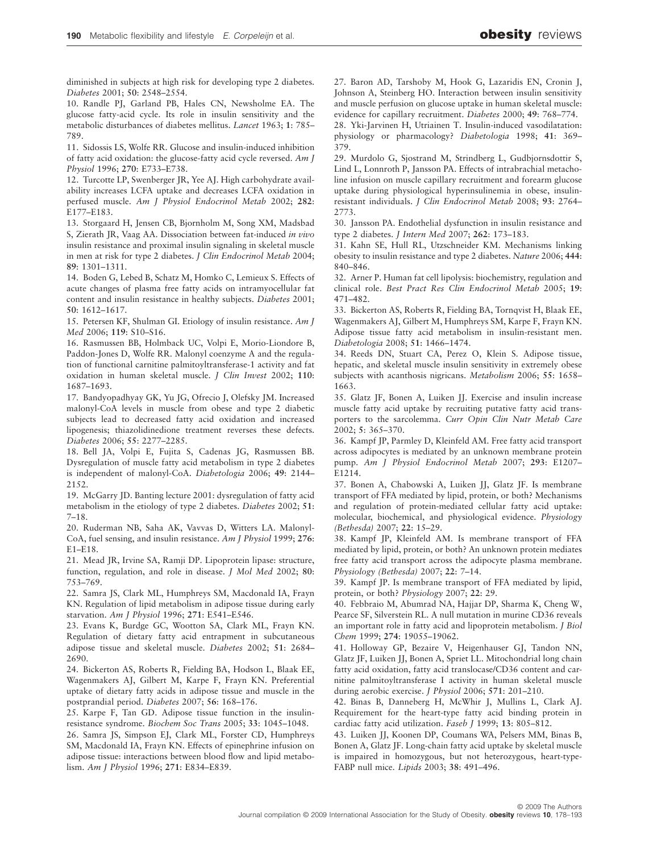diminished in subjects at high risk for developing type 2 diabetes. *Diabetes* 2001; **50**: 2548–2554.

10. Randle PJ, Garland PB, Hales CN, Newsholme EA. The glucose fatty-acid cycle. Its role in insulin sensitivity and the metabolic disturbances of diabetes mellitus. *Lancet* 1963; **1**: 785– 789.

11. Sidossis LS, Wolfe RR. Glucose and insulin-induced inhibition of fatty acid oxidation: the glucose-fatty acid cycle reversed. *Am J Physiol* 1996; **270**: E733–E738.

12. Turcotte LP, Swenberger JR, Yee AJ. High carbohydrate availability increases LCFA uptake and decreases LCFA oxidation in perfused muscle. *Am J Physiol Endocrinol Metab* 2002; **282**: E177–E183.

13. Storgaard H, Jensen CB, Bjornholm M, Song XM, Madsbad S, Zierath JR, Vaag AA. Dissociation between fat-induced *in vivo* insulin resistance and proximal insulin signaling in skeletal muscle in men at risk for type 2 diabetes. *J Clin Endocrinol Metab* 2004; **89**: 1301–1311.

14. Boden G, Lebed B, Schatz M, Homko C, Lemieux S. Effects of acute changes of plasma free fatty acids on intramyocellular fat content and insulin resistance in healthy subjects. *Diabetes* 2001; **50**: 1612–1617.

15. Petersen KF, Shulman GI. Etiology of insulin resistance. *Am J Med* 2006; **119**: S10–S16.

16. Rasmussen BB, Holmback UC, Volpi E, Morio-Liondore B, Paddon-Jones D, Wolfe RR. Malonyl coenzyme A and the regulation of functional carnitine palmitoyltransferase-1 activity and fat oxidation in human skeletal muscle. *J Clin Invest* 2002; **110**: 1687–1693.

17. Bandyopadhyay GK, Yu JG, Ofrecio J, Olefsky JM. Increased malonyl-CoA levels in muscle from obese and type 2 diabetic subjects lead to decreased fatty acid oxidation and increased lipogenesis; thiazolidinedione treatment reverses these defects. *Diabetes* 2006; **55**: 2277–2285.

18. Bell JA, Volpi E, Fujita S, Cadenas JG, Rasmussen BB. Dysregulation of muscle fatty acid metabolism in type 2 diabetes is independent of malonyl-CoA. *Diabetologia* 2006; **49**: 2144– 2152.

19. McGarry JD. Banting lecture 2001: dysregulation of fatty acid metabolism in the etiology of type 2 diabetes. *Diabetes* 2002; **51**: 7–18.

20. Ruderman NB, Saha AK, Vavvas D, Witters LA. Malonyl-CoA, fuel sensing, and insulin resistance. *Am J Physiol* 1999; **276**:  $E1-F18$ 

21. Mead JR, Irvine SA, Ramji DP. Lipoprotein lipase: structure, function, regulation, and role in disease. *J Mol Med* 2002; **80**: 753–769.

22. Samra JS, Clark ML, Humphreys SM, Macdonald IA, Frayn KN. Regulation of lipid metabolism in adipose tissue during early starvation. *Am J Physiol* 1996; **271**: E541–E546.

23. Evans K, Burdge GC, Wootton SA, Clark ML, Frayn KN. Regulation of dietary fatty acid entrapment in subcutaneous adipose tissue and skeletal muscle. *Diabetes* 2002; **51**: 2684– 2690.

24. Bickerton AS, Roberts R, Fielding BA, Hodson L, Blaak EE, Wagenmakers AJ, Gilbert M, Karpe F, Frayn KN. Preferential uptake of dietary fatty acids in adipose tissue and muscle in the postprandial period. *Diabetes* 2007; **56**: 168–176.

25. Karpe F, Tan GD. Adipose tissue function in the insulinresistance syndrome. *Biochem Soc Trans* 2005; **33**: 1045–1048.

26. Samra JS, Simpson EJ, Clark ML, Forster CD, Humphreys SM, Macdonald IA, Frayn KN. Effects of epinephrine infusion on adipose tissue: interactions between blood flow and lipid metabolism. *Am J Physiol* 1996; **271**: E834–E839.

27. Baron AD, Tarshoby M, Hook G, Lazaridis EN, Cronin J, Johnson A, Steinberg HO. Interaction between insulin sensitivity and muscle perfusion on glucose uptake in human skeletal muscle: evidence for capillary recruitment. *Diabetes* 2000; **49**: 768–774.

28. Yki-Jarvinen H, Utriainen T. Insulin-induced vasodilatation: physiology or pharmacology? *Diabetologia* 1998; **41**: 369– 379.

29. Murdolo G, Sjostrand M, Strindberg L, Gudbjornsdottir S, Lind L, Lonnroth P, Jansson PA. Effects of intrabrachial metacholine infusion on muscle capillary recruitment and forearm glucose uptake during physiological hyperinsulinemia in obese, insulinresistant individuals. *J Clin Endocrinol Metab* 2008; **93**: 2764– 2773.

30. Jansson PA. Endothelial dysfunction in insulin resistance and type 2 diabetes. *J Intern Med* 2007; **262**: 173–183.

31. Kahn SE, Hull RL, Utzschneider KM. Mechanisms linking obesity to insulin resistance and type 2 diabetes. *Nature* 2006; **444**: 840–846.

32. Arner P. Human fat cell lipolysis: biochemistry, regulation and clinical role. *Best Pract Res Clin Endocrinol Metab* 2005; **19**: 471–482.

33. Bickerton AS, Roberts R, Fielding BA, Tornqvist H, Blaak EE, Wagenmakers AJ, Gilbert M, Humphreys SM, Karpe F, Frayn KN. Adipose tissue fatty acid metabolism in insulin-resistant men. *Diabetologia* 2008; **51**: 1466–1474.

34. Reeds DN, Stuart CA, Perez O, Klein S. Adipose tissue, hepatic, and skeletal muscle insulin sensitivity in extremely obese subjects with acanthosis nigricans. *Metabolism* 2006; **55**: 1658– 1663.

35. Glatz JF, Bonen A, Luiken JJ. Exercise and insulin increase muscle fatty acid uptake by recruiting putative fatty acid transporters to the sarcolemma. *Curr Opin Clin Nutr Metab Care* 2002; **5**: 365–370.

36. Kampf JP, Parmley D, Kleinfeld AM. Free fatty acid transport across adipocytes is mediated by an unknown membrane protein pump. *Am J Physiol Endocrinol Metab* 2007; **293**: E1207– E1214.

37. Bonen A, Chabowski A, Luiken JJ, Glatz JF. Is membrane transport of FFA mediated by lipid, protein, or both? Mechanisms and regulation of protein-mediated cellular fatty acid uptake: molecular, biochemical, and physiological evidence. *Physiology (Bethesda)* 2007; **22**: 15–29.

38. Kampf JP, Kleinfeld AM. Is membrane transport of FFA mediated by lipid, protein, or both? An unknown protein mediates free fatty acid transport across the adipocyte plasma membrane. *Physiology (Bethesda)* 2007; **22**: 7–14.

39. Kampf JP. Is membrane transport of FFA mediated by lipid, protein, or both? *Physiology* 2007; **22**: 29.

40. Febbraio M, Abumrad NA, Hajjar DP, Sharma K, Cheng W, Pearce SF, Silverstein RL. A null mutation in murine CD36 reveals an important role in fatty acid and lipoprotein metabolism. *J Biol Chem* 1999; **274**: 19055–19062.

41. Holloway GP, Bezaire V, Heigenhauser GJ, Tandon NN, Glatz JF, Luiken JJ, Bonen A, Spriet LL. Mitochondrial long chain fatty acid oxidation, fatty acid translocase/CD36 content and carnitine palmitoyltransferase I activity in human skeletal muscle during aerobic exercise. *J Physiol* 2006; **571**: 201–210.

42. Binas B, Danneberg H, McWhir J, Mullins L, Clark AJ. Requirement for the heart-type fatty acid binding protein in cardiac fatty acid utilization. *Faseb J* 1999; **13**: 805–812.

43. Luiken JJ, Koonen DP, Coumans WA, Pelsers MM, Binas B, Bonen A, Glatz JF. Long-chain fatty acid uptake by skeletal muscle is impaired in homozygous, but not heterozygous, heart-type-FABP null mice. *Lipids* 2003; **38**: 491–496.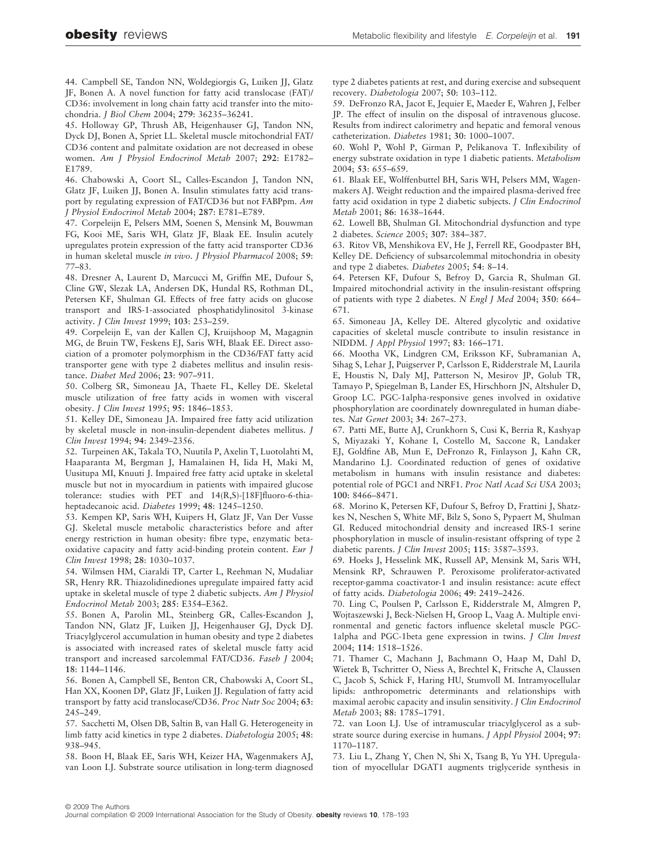44. Campbell SE, Tandon NN, Woldegiorgis G, Luiken JJ, Glatz JF, Bonen A. A novel function for fatty acid translocase (FAT)/ CD36: involvement in long chain fatty acid transfer into the mitochondria. *J Biol Chem* 2004; **279**: 36235–36241.

45. Holloway GP, Thrush AB, Heigenhauser GJ, Tandon NN, Dyck DJ, Bonen A, Spriet LL. Skeletal muscle mitochondrial FAT/ CD36 content and palmitate oxidation are not decreased in obese women. *Am J Physiol Endocrinol Metab* 2007; **292**: E1782– E1789.

46. Chabowski A, Coort SL, Calles-Escandon J, Tandon NN, Glatz JF, Luiken JJ, Bonen A. Insulin stimulates fatty acid transport by regulating expression of FAT/CD36 but not FABPpm. *Am J Physiol Endocrinol Metab* 2004; **287**: E781–E789.

47. Corpeleijn E, Pelsers MM, Soenen S, Mensink M, Bouwman FG, Kooi ME, Saris WH, Glatz JF, Blaak EE. Insulin acutely upregulates protein expression of the fatty acid transporter CD36 in human skeletal muscle *in vivo*. *J Physiol Pharmacol* 2008; **59**: 77–83.

48. Dresner A, Laurent D, Marcucci M, Griffin ME, Dufour S, Cline GW, Slezak LA, Andersen DK, Hundal RS, Rothman DL, Petersen KF, Shulman GI. Effects of free fatty acids on glucose transport and IRS-1-associated phosphatidylinositol 3-kinase activity. *J Clin Invest* 1999; **103**: 253–259.

49. Corpeleijn E, van der Kallen CJ, Kruijshoop M, Magagnin MG, de Bruin TW, Feskens EJ, Saris WH, Blaak EE. Direct association of a promoter polymorphism in the CD36/FAT fatty acid transporter gene with type 2 diabetes mellitus and insulin resistance. *Diabet Med* 2006; **23**: 907–911.

50. Colberg SR, Simoneau JA, Thaete FL, Kelley DE. Skeletal muscle utilization of free fatty acids in women with visceral obesity. *J Clin Invest* 1995; **95**: 1846–1853.

51. Kelley DE, Simoneau JA. Impaired free fatty acid utilization by skeletal muscle in non-insulin-dependent diabetes mellitus. *J Clin Invest* 1994; **94**: 2349–2356.

52. Turpeinen AK, Takala TO, Nuutila P, Axelin T, Luotolahti M, Haaparanta M, Bergman J, Hamalainen H, Iida H, Maki M, Uusitupa MI, Knuuti J. Impaired free fatty acid uptake in skeletal muscle but not in myocardium in patients with impaired glucose tolerance: studies with PET and 14(R,S)-[18F]fluoro-6-thiaheptadecanoic acid. *Diabetes* 1999; **48**: 1245–1250.

53. Kempen KP, Saris WH, Kuipers H, Glatz JF, Van Der Vusse GJ. Skeletal muscle metabolic characteristics before and after energy restriction in human obesity: fibre type, enzymatic betaoxidative capacity and fatty acid-binding protein content. *Eur J Clin Invest* 1998; **28**: 1030–1037.

54. Wilmsen HM, Ciaraldi TP, Carter L, Reehman N, Mudaliar SR, Henry RR. Thiazolidinediones upregulate impaired fatty acid uptake in skeletal muscle of type 2 diabetic subjects. *Am J Physiol Endocrinol Metab* 2003; **285**: E354–E362.

55. Bonen A, Parolin ML, Steinberg GR, Calles-Escandon J, Tandon NN, Glatz JF, Luiken JJ, Heigenhauser GJ, Dyck DJ. Triacylglycerol accumulation in human obesity and type 2 diabetes is associated with increased rates of skeletal muscle fatty acid transport and increased sarcolemmal FAT/CD36. *Faseb J* 2004; **18**: 1144–1146.

56. Bonen A, Campbell SE, Benton CR, Chabowski A, Coort SL, Han XX, Koonen DP, Glatz JF, Luiken JJ. Regulation of fatty acid transport by fatty acid translocase/CD36. *Proc Nutr Soc* 2004; **63**: 245–249.

57. Sacchetti M, Olsen DB, Saltin B, van Hall G. Heterogeneity in limb fatty acid kinetics in type 2 diabetes. *Diabetologia* 2005; **48**: 938–945.

58. Boon H, Blaak EE, Saris WH, Keizer HA, Wagenmakers AJ, van Loon LJ. Substrate source utilisation in long-term diagnosed type 2 diabetes patients at rest, and during exercise and subsequent recovery. *Diabetologia* 2007; **50**: 103–112.

59. DeFronzo RA, Jacot E, Jequier E, Maeder E, Wahren J, Felber JP. The effect of insulin on the disposal of intravenous glucose. Results from indirect calorimetry and hepatic and femoral venous catheterization. *Diabetes* 1981; **30**: 1000–1007.

60. Wohl P, Wohl P, Girman P, Pelikanova T. Inflexibility of energy substrate oxidation in type 1 diabetic patients. *Metabolism* 2004; **53**: 655–659.

61. Blaak EE, Wolffenbuttel BH, Saris WH, Pelsers MM, Wagenmakers AJ. Weight reduction and the impaired plasma-derived free fatty acid oxidation in type 2 diabetic subjects. *J Clin Endocrinol Metab* 2001; **86**: 1638–1644.

62. Lowell BB, Shulman GI. Mitochondrial dysfunction and type 2 diabetes. *Science* 2005; **307**: 384–387.

63. Ritov VB, Menshikova EV, He J, Ferrell RE, Goodpaster BH, Kelley DE. Deficiency of subsarcolemmal mitochondria in obesity and type 2 diabetes. *Diabetes* 2005; **54**: 8–14.

64. Petersen KF, Dufour S, Befroy D, Garcia R, Shulman GI. Impaired mitochondrial activity in the insulin-resistant offspring of patients with type 2 diabetes. *N Engl J Med* 2004; **350**: 664– 671.

65. Simoneau JA, Kelley DE. Altered glycolytic and oxidative capacities of skeletal muscle contribute to insulin resistance in NIDDM. *J Appl Physiol* 1997; **83**: 166–171.

66. Mootha VK, Lindgren CM, Eriksson KF, Subramanian A, Sihag S, Lehar J, Puigserver P, Carlsson E, Ridderstrale M, Laurila E, Houstis N, Daly MJ, Patterson N, Mesirov JP, Golub TR, Tamayo P, Spiegelman B, Lander ES, Hirschhorn JN, Altshuler D, Groop LC. PGC-1alpha-responsive genes involved in oxidative phosphorylation are coordinately downregulated in human diabetes. *Nat Genet* 2003; **34**: 267–273.

67. Patti ME, Butte AJ, Crunkhorn S, Cusi K, Berria R, Kashyap S, Miyazaki Y, Kohane I, Costello M, Saccone R, Landaker EJ, Goldfine AB, Mun E, DeFronzo R, Finlayson J, Kahn CR, Mandarino LJ. Coordinated reduction of genes of oxidative metabolism in humans with insulin resistance and diabetes: potential role of PGC1 and NRF1. *Proc Natl Acad Sci USA* 2003; **100**: 8466–8471.

68. Morino K, Petersen KF, Dufour S, Befroy D, Frattini J, Shatzkes N, Neschen S, White MF, Bilz S, Sono S, Pypaert M, Shulman GI. Reduced mitochondrial density and increased IRS-1 serine phosphorylation in muscle of insulin-resistant offspring of type 2 diabetic parents. *J Clin Invest* 2005; **115**: 3587–3593.

69. Hoeks J, Hesselink MK, Russell AP, Mensink M, Saris WH, Mensink RP, Schrauwen P. Peroxisome proliferator-activated receptor-gamma coactivator-1 and insulin resistance: acute effect of fatty acids. *Diabetologia* 2006; **49**: 2419–2426.

70. Ling C, Poulsen P, Carlsson E, Ridderstrale M, Almgren P, Wojtaszewski J, Beck-Nielsen H, Groop L, Vaag A. Multiple environmental and genetic factors influence skeletal muscle PGC-1alpha and PGC-1beta gene expression in twins. *J Clin Invest* 2004; **114**: 1518–1526.

71. Thamer C, Machann J, Bachmann O, Haap M, Dahl D, Wietek B, Tschritter O, Niess A, Brechtel K, Fritsche A, Claussen C, Jacob S, Schick F, Haring HU, Stumvoll M. Intramyocellular lipids: anthropometric determinants and relationships with maximal aerobic capacity and insulin sensitivity. *J Clin Endocrinol Metab* 2003; **88**: 1785–1791.

72. van Loon LJ. Use of intramuscular triacylglycerol as a substrate source during exercise in humans. *J Appl Physiol* 2004; **97**: 1170–1187.

73. Liu L, Zhang Y, Chen N, Shi X, Tsang B, Yu YH. Upregulation of myocellular DGAT1 augments triglyceride synthesis in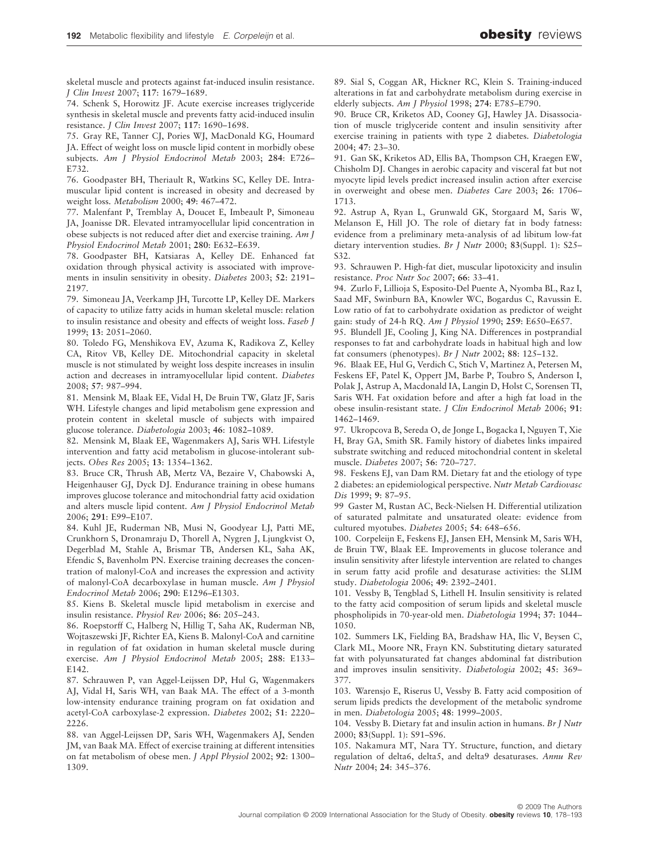skeletal muscle and protects against fat-induced insulin resistance. *J Clin Invest* 2007; **117**: 1679–1689.

74. Schenk S, Horowitz JF. Acute exercise increases triglyceride synthesis in skeletal muscle and prevents fatty acid-induced insulin resistance. *J Clin Invest* 2007; **117**: 1690–1698.

75. Gray RE, Tanner CJ, Pories WJ, MacDonald KG, Houmard JA. Effect of weight loss on muscle lipid content in morbidly obese subjects. *Am J Physiol Endocrinol Metab* 2003; **284**: E726– E732.

76. Goodpaster BH, Theriault R, Watkins SC, Kelley DE. Intramuscular lipid content is increased in obesity and decreased by weight loss. *Metabolism* 2000; **49**: 467–472.

77. Malenfant P, Tremblay A, Doucet E, Imbeault P, Simoneau JA, Joanisse DR. Elevated intramyocellular lipid concentration in obese subjects is not reduced after diet and exercise training. *Am J Physiol Endocrinol Metab* 2001; **280**: E632–E639.

78. Goodpaster BH, Katsiaras A, Kelley DE. Enhanced fat oxidation through physical activity is associated with improvements in insulin sensitivity in obesity. *Diabetes* 2003; **52**: 2191– 2197.

79. Simoneau JA, Veerkamp JH, Turcotte LP, Kelley DE. Markers of capacity to utilize fatty acids in human skeletal muscle: relation to insulin resistance and obesity and effects of weight loss. *Faseb J* 1999; **13**: 2051–2060.

80. Toledo FG, Menshikova EV, Azuma K, Radikova Z, Kelley CA, Ritov VB, Kelley DE. Mitochondrial capacity in skeletal muscle is not stimulated by weight loss despite increases in insulin action and decreases in intramyocellular lipid content. *Diabetes* 2008; **57**: 987–994.

81. Mensink M, Blaak EE, Vidal H, De Bruin TW, Glatz JF, Saris WH. Lifestyle changes and lipid metabolism gene expression and protein content in skeletal muscle of subjects with impaired glucose tolerance. *Diabetologia* 2003; **46**: 1082–1089.

82. Mensink M, Blaak EE, Wagenmakers AJ, Saris WH. Lifestyle intervention and fatty acid metabolism in glucose-intolerant subjects. *Obes Res* 2005; **13**: 1354–1362.

83. Bruce CR, Thrush AB, Mertz VA, Bezaire V, Chabowski A, Heigenhauser GJ, Dyck DJ. Endurance training in obese humans improves glucose tolerance and mitochondrial fatty acid oxidation and alters muscle lipid content. *Am J Physiol Endocrinol Metab* 2006; **291**: E99–E107.

84. Kuhl JE, Ruderman NB, Musi N, Goodyear LJ, Patti ME, Crunkhorn S, Dronamraju D, Thorell A, Nygren J, Ljungkvist O, Degerblad M, Stahle A, Brismar TB, Andersen KL, Saha AK, Efendic S, Bavenholm PN. Exercise training decreases the concentration of malonyl-CoA and increases the expression and activity of malonyl-CoA decarboxylase in human muscle. *Am J Physiol Endocrinol Metab* 2006; **290**: E1296–E1303.

85. Kiens B. Skeletal muscle lipid metabolism in exercise and insulin resistance. *Physiol Rev* 2006; **86**: 205–243.

86. Roepstorff C, Halberg N, Hillig T, Saha AK, Ruderman NB, Wojtaszewski JF, Richter EA, Kiens B. Malonyl-CoA and carnitine in regulation of fat oxidation in human skeletal muscle during exercise. *Am J Physiol Endocrinol Metab* 2005; **288**: E133– E142.

87. Schrauwen P, van Aggel-Leijssen DP, Hul G, Wagenmakers AJ, Vidal H, Saris WH, van Baak MA. The effect of a 3-month low-intensity endurance training program on fat oxidation and acetyl-CoA carboxylase-2 expression. *Diabetes* 2002; **51**: 2220– 2226.

88. van Aggel-Leijssen DP, Saris WH, Wagenmakers AJ, Senden JM, van Baak MA. Effect of exercise training at different intensities on fat metabolism of obese men. *J Appl Physiol* 2002; **92**: 1300– 1309.

89. Sial S, Coggan AR, Hickner RC, Klein S. Training-induced alterations in fat and carbohydrate metabolism during exercise in elderly subjects. *Am J Physiol* 1998; **274**: E785–E790.

90. Bruce CR, Kriketos AD, Cooney GJ, Hawley JA. Disassociation of muscle triglyceride content and insulin sensitivity after exercise training in patients with type 2 diabetes. *Diabetologia* 2004; **47**: 23–30.

91. Gan SK, Kriketos AD, Ellis BA, Thompson CH, Kraegen EW, Chisholm DJ. Changes in aerobic capacity and visceral fat but not myocyte lipid levels predict increased insulin action after exercise in overweight and obese men. *Diabetes Care* 2003; **26**: 1706– 1713.

92. Astrup A, Ryan L, Grunwald GK, Storgaard M, Saris W, Melanson E, Hill JO. The role of dietary fat in body fatness: evidence from a preliminary meta-analysis of ad libitum low-fat dietary intervention studies. *Br J Nutr* 2000; **83**(Suppl. 1): S25– S32.

93. Schrauwen P. High-fat diet, muscular lipotoxicity and insulin resistance. *Proc Nutr Soc* 2007; **66**: 33–41.

94. Zurlo F, Lillioja S, Esposito-Del Puente A, Nyomba BL, Raz I, Saad MF, Swinburn BA, Knowler WC, Bogardus C, Ravussin E. Low ratio of fat to carbohydrate oxidation as predictor of weight gain: study of 24-h RQ. *Am J Physiol* 1990; **259**: E650–E657.

95. Blundell JE, Cooling J, King NA. Differences in postprandial responses to fat and carbohydrate loads in habitual high and low fat consumers (phenotypes). *Br J Nutr* 2002; **88**: 125–132.

96. Blaak EE, Hul G, Verdich C, Stich V, Martinez A, Petersen M, Feskens EF, Patel K, Oppert JM, Barbe P, Toubro S, Anderson I, Polak J, Astrup A, Macdonald IA, Langin D, Holst C, Sorensen TI, Saris WH. Fat oxidation before and after a high fat load in the obese insulin-resistant state. *J Clin Endocrinol Metab* 2006; **91**: 1462–1469.

97. Ukropcova B, Sereda O, de Jonge L, Bogacka I, Nguyen T, Xie H, Bray GA, Smith SR. Family history of diabetes links impaired substrate switching and reduced mitochondrial content in skeletal muscle. *Diabetes* 2007; **56**: 720–727.

98. Feskens EJ, van Dam RM. Dietary fat and the etiology of type 2 diabetes: an epidemiological perspective. *Nutr Metab Cardiovasc Dis* 1999; **9**: 87–95.

99 Gaster M, Rustan AC, Beck-Nielsen H. Differential utilization of saturated palmitate and unsaturated oleate: evidence from cultured myotubes. *Diabetes* 2005; **54**: 648–656.

100. Corpeleijn E, Feskens EJ, Jansen EH, Mensink M, Saris WH, de Bruin TW, Blaak EE. Improvements in glucose tolerance and insulin sensitivity after lifestyle intervention are related to changes in serum fatty acid profile and desaturase activities: the SLIM study. *Diabetologia* 2006; **49**: 2392–2401.

101. Vessby B, Tengblad S, Lithell H. Insulin sensitivity is related to the fatty acid composition of serum lipids and skeletal muscle phospholipids in 70-year-old men. *Diabetologia* 1994; **37**: 1044– 1050.

102. Summers LK, Fielding BA, Bradshaw HA, Ilic V, Beysen C, Clark ML, Moore NR, Frayn KN. Substituting dietary saturated fat with polyunsaturated fat changes abdominal fat distribution and improves insulin sensitivity. *Diabetologia* 2002; **45**: 369– 377.

103. Warensjo E, Riserus U, Vessby B. Fatty acid composition of serum lipids predicts the development of the metabolic syndrome in men. *Diabetologia* 2005; **48**: 1999–2005.

104. Vessby B. Dietary fat and insulin action in humans. *Br J Nutr* 2000; **83**(Suppl. 1): S91–S96.

105. Nakamura MT, Nara TY. Structure, function, and dietary regulation of delta6, delta5, and delta9 desaturases. *Annu Rev Nutr* 2004; **24**: 345–376.